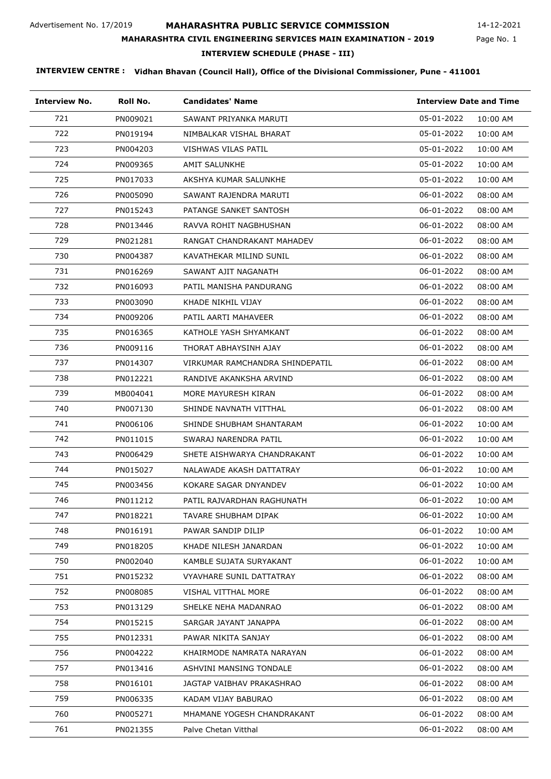Page No. 1 14-12-2021

### **MAHARASHTRA CIVIL ENGINEERING SERVICES MAIN EXAMINATION - 2019**

**INTERVIEW SCHEDULE (PHASE - III)**

| <b>Interview No.</b> | Roll No. | <b>Candidates' Name</b>         | <b>Interview Date and Time</b> |
|----------------------|----------|---------------------------------|--------------------------------|
| 721                  | PN009021 | SAWANT PRIYANKA MARUTI          | 05-01-2022<br>10:00 AM         |
| 722                  | PN019194 | NIMBALKAR VISHAL BHARAT         | 05-01-2022<br>10:00 AM         |
| 723                  | PN004203 | VISHWAS VILAS PATIL             | 05-01-2022<br>10:00 AM         |
| 724                  | PN009365 | AMIT SALUNKHE                   | 05-01-2022<br>10:00 AM         |
| 725                  | PN017033 | AKSHYA KUMAR SALUNKHE           | 05-01-2022<br>10:00 AM         |
| 726                  | PN005090 | SAWANT RAJENDRA MARUTI          | 06-01-2022<br>08:00 AM         |
| 727                  | PN015243 | PATANGE SANKET SANTOSH          | 06-01-2022<br>08:00 AM         |
| 728                  | PN013446 | RAVVA ROHIT NAGBHUSHAN          | 06-01-2022<br>08:00 AM         |
| 729                  | PN021281 | RANGAT CHANDRAKANT MAHADEV      | 06-01-2022<br>08:00 AM         |
| 730                  | PN004387 | KAVATHEKAR MILIND SUNIL         | 06-01-2022<br>08:00 AM         |
| 731                  | PN016269 | SAWANT AJIT NAGANATH            | 06-01-2022<br>08:00 AM         |
| 732                  | PN016093 | PATIL MANISHA PANDURANG         | 06-01-2022<br>08:00 AM         |
| 733                  | PN003090 | KHADE NIKHIL VIJAY              | 06-01-2022<br>08:00 AM         |
| 734                  | PN009206 | PATIL AARTI MAHAVEER            | 06-01-2022<br>08:00 AM         |
| 735                  | PN016365 | KATHOLE YASH SHYAMKANT          | 06-01-2022<br>08:00 AM         |
| 736                  | PN009116 | THORAT ABHAYSINH AJAY           | 06-01-2022<br>08:00 AM         |
| 737                  | PN014307 | VIRKUMAR RAMCHANDRA SHINDEPATIL | 06-01-2022<br>08:00 AM         |
| 738                  | PN012221 | RANDIVE AKANKSHA ARVIND         | 06-01-2022<br>08:00 AM         |
| 739                  | MB004041 | MORE MAYURESH KIRAN             | 06-01-2022<br>08:00 AM         |
| 740                  | PN007130 | SHINDE NAVNATH VITTHAL          | 06-01-2022<br>08:00 AM         |
| 741                  | PN006106 | SHINDE SHUBHAM SHANTARAM        | 06-01-2022<br>10:00 AM         |
| 742                  | PN011015 | SWARAJ NARENDRA PATIL           | 06-01-2022<br>10:00 AM         |
| 743                  | PN006429 | SHETE AISHWARYA CHANDRAKANT     | 06-01-2022<br>10:00 AM         |
| 744                  | PN015027 | NALAWADE AKASH DATTATRAY        | 06-01-2022<br>10:00 AM         |
| 745                  | PN003456 | KOKARE SAGAR DNYANDEV           | 06-01-2022<br>10:00 AM         |
| 746                  | PN011212 | PATIL RAJVARDHAN RAGHUNATH      | 06-01-2022<br>10:00 AM         |
| 747                  | PN018221 | TAVARE SHUBHAM DIPAK            | 06-01-2022<br>10:00 AM         |
| 748                  | PN016191 | PAWAR SANDIP DILIP              | 06-01-2022<br>10:00 AM         |
| 749                  | PN018205 | KHADE NILESH JANARDAN           | 06-01-2022<br>10:00 AM         |
| 750                  | PN002040 | KAMBLE SUJATA SURYAKANT         | 06-01-2022<br>10:00 AM         |
| 751                  | PN015232 | VYAVHARE SUNIL DATTATRAY        | 06-01-2022<br>08:00 AM         |
| 752                  | PN008085 | VISHAL VITTHAL MORE             | 06-01-2022<br>08:00 AM         |
| 753                  | PN013129 | SHELKE NEHA MADANRAO            | 06-01-2022<br>08:00 AM         |
| 754                  | PN015215 | SARGAR JAYANT JANAPPA           | 06-01-2022<br>08:00 AM         |
| 755                  | PN012331 | PAWAR NIKITA SANJAY             | 06-01-2022<br>08:00 AM         |
| 756                  | PN004222 | KHAIRMODE NAMRATA NARAYAN       | 06-01-2022<br>08:00 AM         |
| 757                  | PN013416 | ASHVINI MANSING TONDALE         | 06-01-2022<br>08:00 AM         |
| 758                  | PN016101 | JAGTAP VAIBHAV PRAKASHRAO       | 06-01-2022<br>08:00 AM         |
| 759                  | PN006335 | KADAM VIJAY BABURAO             | 06-01-2022<br>08:00 AM         |
| 760                  | PN005271 | MHAMANE YOGESH CHANDRAKANT      | 06-01-2022<br>08:00 AM         |
| 761                  | PN021355 | Palve Chetan Vitthal            | 06-01-2022<br>08:00 AM         |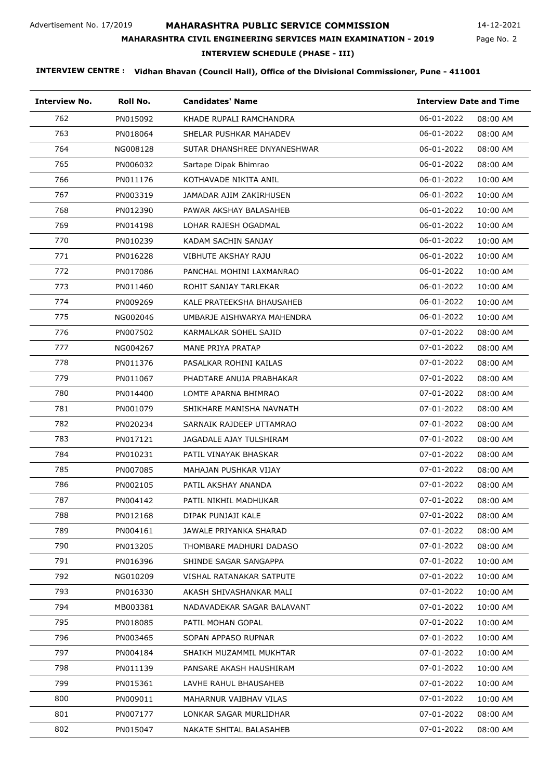Page No. 2 14-12-2021

# **MAHARASHTRA CIVIL ENGINEERING SERVICES MAIN EXAMINATION - 2019**

**INTERVIEW SCHEDULE (PHASE - III)**

| <b>Interview No.</b> | Roll No. | <b>Candidates' Name</b>     | <b>Interview Date and Time</b> |
|----------------------|----------|-----------------------------|--------------------------------|
| 762                  | PN015092 | KHADE RUPALI RAMCHANDRA     | 06-01-2022<br>08:00 AM         |
| 763                  | PN018064 | SHELAR PUSHKAR MAHADEV      | 06-01-2022<br>08:00 AM         |
| 764                  | NG008128 | SUTAR DHANSHREE DNYANESHWAR | 06-01-2022<br>08:00 AM         |
| 765                  | PN006032 | Sartape Dipak Bhimrao       | 06-01-2022<br>08:00 AM         |
| 766                  | PN011176 | KOTHAVADE NIKITA ANIL       | 06-01-2022<br>10:00 AM         |
| 767                  | PN003319 | JAMADAR AJIM ZAKIRHUSEN     | 06-01-2022<br>10:00 AM         |
| 768                  | PN012390 | PAWAR AKSHAY BALASAHEB      | 06-01-2022<br>10:00 AM         |
| 769                  | PN014198 | LOHAR RAJESH OGADMAL        | 06-01-2022<br>10:00 AM         |
| 770                  | PN010239 | KADAM SACHIN SANJAY         | 06-01-2022<br>10:00 AM         |
| 771                  | PN016228 | VIBHUTE AKSHAY RAJU         | 06-01-2022<br>10:00 AM         |
| 772                  | PN017086 | PANCHAL MOHINI LAXMANRAO    | 06-01-2022<br>10:00 AM         |
| 773                  | PN011460 | ROHIT SANJAY TARLEKAR       | 06-01-2022<br>10:00 AM         |
| 774                  | PN009269 | KALE PRATEEKSHA BHAUSAHEB   | 06-01-2022<br>10:00 AM         |
| 775                  | NG002046 | UMBARJE AISHWARYA MAHENDRA  | 06-01-2022<br>10:00 AM         |
| 776                  | PN007502 | KARMALKAR SOHEL SAJID       | 07-01-2022<br>08:00 AM         |
| 777                  | NG004267 | MANE PRIYA PRATAP           | 07-01-2022<br>08:00 AM         |
| 778                  | PN011376 | PASALKAR ROHINI KAILAS      | 07-01-2022<br>08:00 AM         |
| 779                  | PN011067 | PHADTARE ANUJA PRABHAKAR    | 07-01-2022<br>08:00 AM         |
| 780                  | PN014400 | LOMTE APARNA BHIMRAO        | 07-01-2022<br>08:00 AM         |
| 781                  | PN001079 | SHIKHARE MANISHA NAVNATH    | 07-01-2022<br>08:00 AM         |
| 782                  | PN020234 | SARNAIK RAJDEEP UTTAMRAO    | 07-01-2022<br>08:00 AM         |
| 783                  | PN017121 | JAGADALE AJAY TULSHIRAM     | 07-01-2022<br>08:00 AM         |
| 784                  | PN010231 | PATIL VINAYAK BHASKAR       | 07-01-2022<br>08:00 AM         |
| 785                  | PN007085 | MAHAJAN PUSHKAR VIJAY       | 07-01-2022<br>08:00 AM         |
| 786                  | PN002105 | PATIL AKSHAY ANANDA         | 07-01-2022<br>08:00 AM         |
| 787                  | PN004142 | PATIL NIKHIL MADHUKAR       | 07-01-2022<br>08:00 AM         |
| 788                  | PN012168 | DIPAK PUNJAJI KALE          | 07-01-2022<br>08:00 AM         |
| 789                  | PN004161 | JAWALE PRIYANKA SHARAD      | 07-01-2022<br>08:00 AM         |
| 790                  | PN013205 | THOMBARE MADHURI DADASO     | 07-01-2022<br>08:00 AM         |
| 791                  | PN016396 | SHINDE SAGAR SANGAPPA       | 07-01-2022<br>10:00 AM         |
| 792                  | NG010209 | VISHAL RATANAKAR SATPUTE    | 07-01-2022<br>10:00 AM         |
| 793                  | PN016330 | AKASH SHIVASHANKAR MALI     | 07-01-2022<br>10:00 AM         |
| 794                  | MB003381 | NADAVADEKAR SAGAR BALAVANT  | 07-01-2022<br>10:00 AM         |
| 795                  | PN018085 | PATIL MOHAN GOPAL           | 07-01-2022<br>10:00 AM         |
| 796                  | PN003465 | SOPAN APPASO RUPNAR         | 07-01-2022<br>10:00 AM         |
| 797                  | PN004184 | SHAIKH MUZAMMIL MUKHTAR     | 07-01-2022<br>10:00 AM         |
| 798                  | PN011139 | PANSARE AKASH HAUSHIRAM     | 07-01-2022<br>10:00 AM         |
| 799                  | PN015361 | LAVHE RAHUL BHAUSAHEB       | 07-01-2022<br>10:00 AM         |
| 800                  | PN009011 | MAHARNUR VAIBHAV VILAS      | 07-01-2022<br>10:00 AM         |
| 801                  | PN007177 | LONKAR SAGAR MURLIDHAR      | 07-01-2022<br>08:00 AM         |
| 802                  | PN015047 | NAKATE SHITAL BALASAHEB     | 07-01-2022<br>08:00 AM         |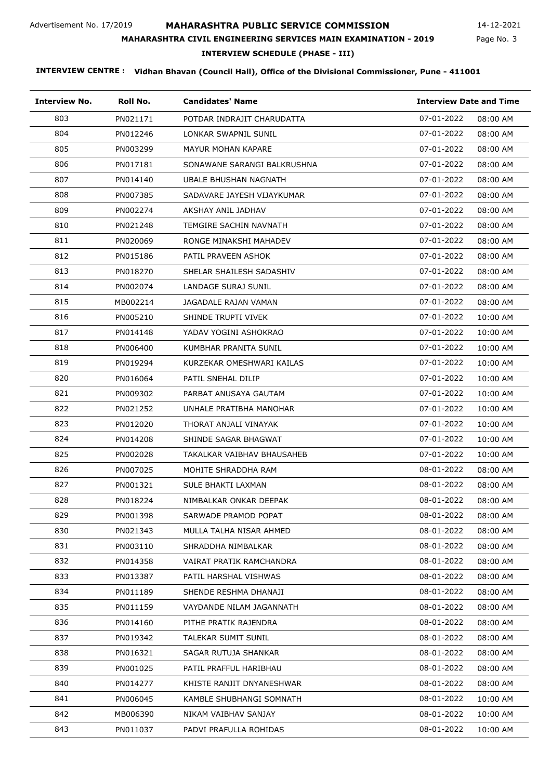Page No. 3 14-12-2021

#### **MAHARASHTRA CIVIL ENGINEERING SERVICES MAIN EXAMINATION - 2019**

**INTERVIEW SCHEDULE (PHASE - III)**

| <b>Interview No.</b> | Roll No. | <b>Candidates' Name</b>     | <b>Interview Date and Time</b> |
|----------------------|----------|-----------------------------|--------------------------------|
| 803                  | PN021171 | POTDAR INDRAJIT CHARUDATTA  | 07-01-2022<br>08:00 AM         |
| 804                  | PN012246 | LONKAR SWAPNIL SUNIL        | 07-01-2022<br>08:00 AM         |
| 805                  | PN003299 | MAYUR MOHAN KAPARE          | 07-01-2022<br>08:00 AM         |
| 806                  | PN017181 | SONAWANE SARANGI BALKRUSHNA | 07-01-2022<br>08:00 AM         |
| 807                  | PN014140 | UBALE BHUSHAN NAGNATH       | 07-01-2022<br>08:00 AM         |
| 808                  | PN007385 | SADAVARE JAYESH VIJAYKUMAR  | 07-01-2022<br>08:00 AM         |
| 809                  | PN002274 | AKSHAY ANIL JADHAV          | 07-01-2022<br>08:00 AM         |
| 810                  | PN021248 | TEMGIRE SACHIN NAVNATH      | 07-01-2022<br>08:00 AM         |
| 811                  | PN020069 | RONGE MINAKSHI MAHADEV      | 07-01-2022<br>08:00 AM         |
| 812                  | PN015186 | PATIL PRAVEEN ASHOK         | 07-01-2022<br>08:00 AM         |
| 813                  | PN018270 | SHELAR SHAILESH SADASHIV    | 07-01-2022<br>08:00 AM         |
| 814                  | PN002074 | LANDAGE SURAJ SUNIL         | 07-01-2022<br>08:00 AM         |
| 815                  | MB002214 | JAGADALE RAJAN VAMAN        | 07-01-2022<br>08:00 AM         |
| 816                  | PN005210 | SHINDE TRUPTI VIVEK         | 07-01-2022<br>10:00 AM         |
| 817                  | PN014148 | YADAV YOGINI ASHOKRAO       | 07-01-2022<br>10:00 AM         |
| 818                  | PN006400 | KUMBHAR PRANITA SUNIL       | 07-01-2022<br>10:00 AM         |
| 819                  | PN019294 | KURZEKAR OMESHWARI KAILAS   | 07-01-2022<br>10:00 AM         |
| 820                  | PN016064 | PATIL SNEHAL DILIP          | 07-01-2022<br>10:00 AM         |
| 821                  | PN009302 | PARBAT ANUSAYA GAUTAM       | 07-01-2022<br>10:00 AM         |
| 822                  | PN021252 | UNHALE PRATIBHA MANOHAR     | 07-01-2022<br>10:00 AM         |
| 823                  | PN012020 | THORAT ANJALI VINAYAK       | 07-01-2022<br>10:00 AM         |
| 824                  | PN014208 | SHINDE SAGAR BHAGWAT        | 07-01-2022<br>10:00 AM         |
| 825                  | PN002028 | TAKALKAR VAIBHAV BHAUSAHEB  | 07-01-2022<br>10:00 AM         |
| 826                  | PN007025 | MOHITE SHRADDHA RAM         | 08-01-2022<br>08:00 AM         |
| 827                  | PN001321 | SULE BHAKTI LAXMAN          | 08-01-2022<br>08:00 AM         |
| 828                  | PN018224 | NIMBALKAR ONKAR DEEPAK      | 08-01-2022<br>08:00 AM         |
| 829                  | PN001398 | SARWADE PRAMOD POPAT        | 08-01-2022<br>08:00 AM         |
| 830                  | PN021343 | MULLA TALHA NISAR AHMED     | 08-01-2022<br>08:00 AM         |
| 831                  | PN003110 | SHRADDHA NIMBALKAR          | 08-01-2022<br>08:00 AM         |
| 832                  | PN014358 | VAIRAT PRATIK RAMCHANDRA    | 08-01-2022<br>08:00 AM         |
| 833                  | PN013387 | PATIL HARSHAL VISHWAS       | 08-01-2022<br>08:00 AM         |
| 834                  | PN011189 | SHENDE RESHMA DHANAJI       | 08-01-2022<br>08:00 AM         |
| 835                  | PN011159 | VAYDANDE NILAM JAGANNATH    | 08-01-2022<br>08:00 AM         |
| 836                  | PN014160 | PITHE PRATIK RAJENDRA       | 08-01-2022<br>08:00 AM         |
| 837                  | PN019342 | TALEKAR SUMIT SUNIL         | 08-01-2022<br>08:00 AM         |
| 838                  | PN016321 | SAGAR RUTUJA SHANKAR        | 08-01-2022<br>08:00 AM         |
| 839                  | PN001025 | PATIL PRAFFUL HARIBHAU      | 08-01-2022<br>08:00 AM         |
| 840                  | PN014277 | KHISTE RANJIT DNYANESHWAR   | 08-01-2022<br>08:00 AM         |
| 841                  | PN006045 | KAMBLE SHUBHANGI SOMNATH    | 08-01-2022<br>10:00 AM         |
| 842                  | MB006390 | NIKAM VAIBHAV SANJAY        | 08-01-2022<br>10:00 AM         |
| 843                  | PN011037 | PADVI PRAFULLA ROHIDAS      | 08-01-2022<br>10:00 AM         |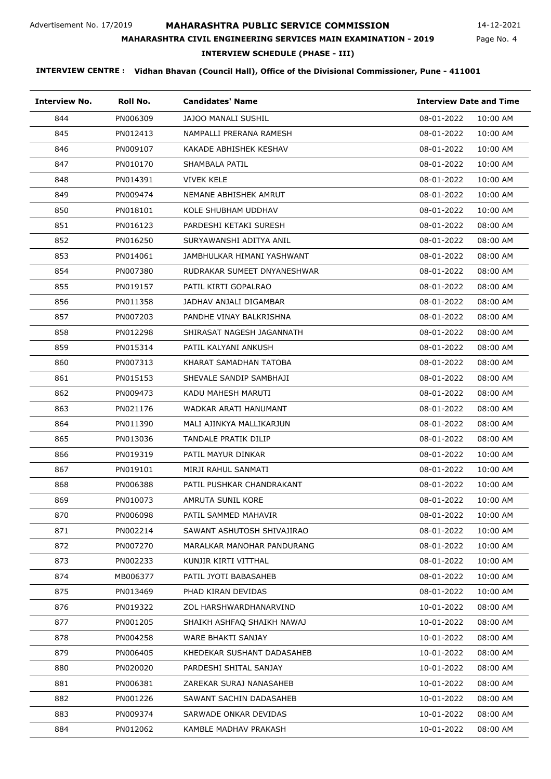Page No. 4 14-12-2021

### **MAHARASHTRA CIVIL ENGINEERING SERVICES MAIN EXAMINATION - 2019**

**INTERVIEW SCHEDULE (PHASE - III)**

| <b>Interview No.</b> | Roll No. | <b>Candidates' Name</b>     | <b>Interview Date and Time</b> |
|----------------------|----------|-----------------------------|--------------------------------|
| 844                  | PN006309 | <b>JAJOO MANALI SUSHIL</b>  | 08-01-2022<br>10:00 AM         |
| 845                  | PN012413 | NAMPALLI PRERANA RAMESH     | 08-01-2022<br>10:00 AM         |
| 846                  | PN009107 | KAKADE ABHISHEK KESHAV      | 08-01-2022<br>10:00 AM         |
| 847                  | PN010170 | SHAMBALA PATIL              | 08-01-2022<br>10:00 AM         |
| 848                  | PN014391 | <b>VIVEK KELE</b>           | 08-01-2022<br>10:00 AM         |
| 849                  | PN009474 | NEMANE ABHISHEK AMRUT       | 08-01-2022<br>10:00 AM         |
| 850                  | PN018101 | KOLE SHUBHAM UDDHAV         | 08-01-2022<br>10:00 AM         |
| 851                  | PN016123 | PARDESHI KETAKI SURESH      | 08-01-2022<br>08:00 AM         |
| 852                  | PN016250 | SURYAWANSHI ADITYA ANIL     | 08-01-2022<br>08:00 AM         |
| 853                  | PN014061 | JAMBHULKAR HIMANI YASHWANT  | 08-01-2022<br>08:00 AM         |
| 854                  | PN007380 | RUDRAKAR SUMEET DNYANESHWAR | 08-01-2022<br>08:00 AM         |
| 855                  | PN019157 | PATIL KIRTI GOPALRAO        | 08-01-2022<br>08:00 AM         |
| 856                  | PN011358 | JADHAV ANJALI DIGAMBAR      | 08-01-2022<br>08:00 AM         |
| 857                  | PN007203 | PANDHE VINAY BALKRISHNA     | 08-01-2022<br>08:00 AM         |
| 858                  | PN012298 | SHIRASAT NAGESH JAGANNATH   | 08-01-2022<br>08:00 AM         |
| 859                  | PN015314 | PATIL KALYANI ANKUSH        | 08-01-2022<br>08:00 AM         |
| 860                  | PN007313 | KHARAT SAMADHAN TATOBA      | 08-01-2022<br>08:00 AM         |
| 861                  | PN015153 | SHEVALE SANDIP SAMBHAJI     | 08-01-2022<br>08:00 AM         |
| 862                  | PN009473 | KADU MAHESH MARUTI          | 08-01-2022<br>08:00 AM         |
| 863                  | PN021176 | WADKAR ARATI HANUMANT       | 08-01-2022<br>08:00 AM         |
| 864                  | PN011390 | MALI AJINKYA MALLIKARJUN    | 08-01-2022<br>08:00 AM         |
| 865                  | PN013036 | TANDALE PRATIK DILIP        | 08-01-2022<br>08:00 AM         |
| 866                  | PN019319 | PATIL MAYUR DINKAR          | 08-01-2022<br>10:00 AM         |
| 867                  | PN019101 | MIRJI RAHUL SANMATI         | 08-01-2022<br>10:00 AM         |
| 868                  | PN006388 | PATIL PUSHKAR CHANDRAKANT   | 08-01-2022<br>10:00 AM         |
| 869                  | PN010073 | AMRUTA SUNIL KORE           | 08-01-2022<br>10:00 AM         |
| 870                  | PN006098 | PATIL SAMMED MAHAVIR        | 08-01-2022<br>10:00 AM         |
| 871                  | PN002214 | SAWANT ASHUTOSH SHIVAJIRAO  | 08-01-2022<br>10:00 AM         |
| 872                  | PN007270 | MARALKAR MANOHAR PANDURANG  | 08-01-2022<br>10:00 AM         |
| 873                  | PN002233 | KUNJIR KIRTI VITTHAL        | 08-01-2022<br>10:00 AM         |
| 874                  | MB006377 | PATIL JYOTI BABASAHEB       | 08-01-2022<br>10:00 AM         |
| 875                  | PN013469 | PHAD KIRAN DEVIDAS          | 08-01-2022<br>10:00 AM         |
| 876                  | PN019322 | ZOL HARSHWARDHANARVIND      | 10-01-2022<br>08:00 AM         |
| 877                  | PN001205 | SHAIKH ASHFAQ SHAIKH NAWAJ  | 10-01-2022<br>08:00 AM         |
| 878                  | PN004258 | WARE BHAKTI SANJAY          | 10-01-2022<br>08:00 AM         |
| 879                  | PN006405 | KHEDEKAR SUSHANT DADASAHEB  | 10-01-2022<br>08:00 AM         |
| 880                  | PN020020 | PARDESHI SHITAL SANJAY      | 10-01-2022<br>08:00 AM         |
| 881                  | PN006381 | ZAREKAR SURAJ NANASAHEB     | 10-01-2022<br>08:00 AM         |
| 882                  | PN001226 | SAWANT SACHIN DADASAHEB     | 10-01-2022<br>08:00 AM         |
| 883                  | PN009374 | SARWADE ONKAR DEVIDAS       | 10-01-2022<br>08:00 AM         |
| 884                  | PN012062 | KAMBLE MADHAV PRAKASH       | 10-01-2022<br>08:00 AM         |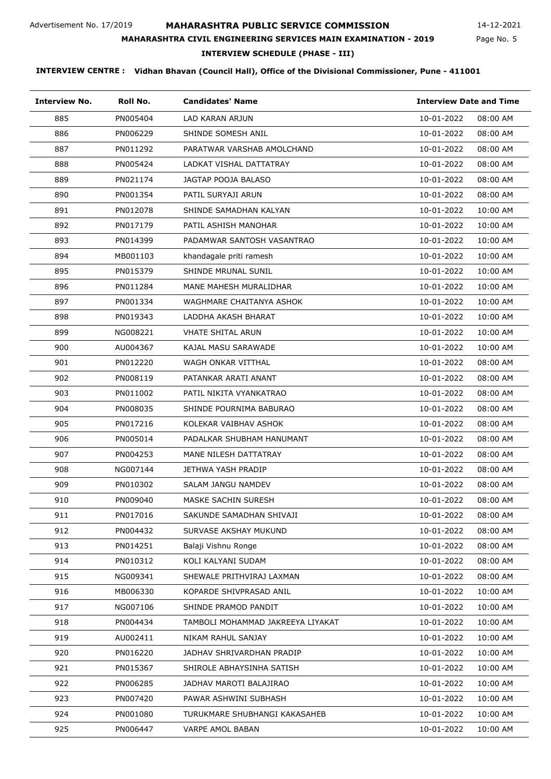Page No. 5 14-12-2021

# **MAHARASHTRA CIVIL ENGINEERING SERVICES MAIN EXAMINATION - 2019**

**INTERVIEW SCHEDULE (PHASE - III)**

| <b>Interview No.</b> | Roll No. | <b>Candidates' Name</b>           | <b>Interview Date and Time</b> |          |
|----------------------|----------|-----------------------------------|--------------------------------|----------|
| 885                  | PN005404 | <b>LAD KARAN ARJUN</b>            | 10-01-2022                     | 08:00 AM |
| 886                  | PN006229 | SHINDE SOMESH ANIL                | 10-01-2022                     | 08:00 AM |
| 887                  | PN011292 | PARATWAR VARSHAB AMOLCHAND        | 10-01-2022                     | 08:00 AM |
| 888                  | PN005424 | LADKAT VISHAL DATTATRAY           | 10-01-2022                     | 08:00 AM |
| 889                  | PN021174 | JAGTAP POOJA BALASO               | 10-01-2022                     | 08:00 AM |
| 890                  | PN001354 | PATIL SURYAJI ARUN                | 10-01-2022                     | 08:00 AM |
| 891                  | PN012078 | SHINDE SAMADHAN KALYAN            | 10-01-2022                     | 10:00 AM |
| 892                  | PN017179 | PATIL ASHISH MANOHAR              | 10-01-2022                     | 10:00 AM |
| 893                  | PN014399 | PADAMWAR SANTOSH VASANTRAO        | 10-01-2022                     | 10:00 AM |
| 894                  | MB001103 | khandagale priti ramesh           | 10-01-2022                     | 10:00 AM |
| 895                  | PN015379 | SHINDE MRUNAL SUNIL               | 10-01-2022                     | 10:00 AM |
| 896                  | PN011284 | MANE MAHESH MURALIDHAR            | 10-01-2022                     | 10:00 AM |
| 897                  | PN001334 | WAGHMARE CHAITANYA ASHOK          | 10-01-2022                     | 10:00 AM |
| 898                  | PN019343 | LADDHA AKASH BHARAT               | 10-01-2022                     | 10:00 AM |
| 899                  | NG008221 | <b>VHATE SHITAL ARUN</b>          | 10-01-2022                     | 10:00 AM |
| 900                  | AU004367 | KAJAL MASU SARAWADE               | 10-01-2022                     | 10:00 AM |
| 901                  | PN012220 | WAGH ONKAR VITTHAL                | 10-01-2022                     | 08:00 AM |
| 902                  | PN008119 | PATANKAR ARATI ANANT              | 10-01-2022                     | 08:00 AM |
| 903                  | PN011002 | PATIL NIKITA VYANKATRAO           | 10-01-2022                     | 08:00 AM |
| 904                  | PN008035 | SHINDE POURNIMA BABURAO           | 10-01-2022                     | 08:00 AM |
| 905                  | PN017216 | KOLEKAR VAIBHAV ASHOK             | 10-01-2022                     | 08:00 AM |
| 906                  | PN005014 | PADALKAR SHUBHAM HANUMANT         | 10-01-2022                     | 08:00 AM |
| 907                  | PN004253 | MANE NILESH DATTATRAY             | 10-01-2022                     | 08:00 AM |
| 908                  | NG007144 | JETHWA YASH PRADIP                | 10-01-2022                     | 08:00 AM |
| 909                  | PN010302 | SALAM JANGU NAMDEV                | 10-01-2022                     | 08:00 AM |
| 910                  | PN009040 | MASKE SACHIN SURESH               | 10-01-2022                     | 08:00 AM |
| 911                  | PN017016 | SAKUNDE SAMADHAN SHIVAJI          | 10-01-2022                     | 08:00 AM |
| 912                  | PN004432 | SURVASE AKSHAY MUKUND             | 10-01-2022                     | 08:00 AM |
| 913                  | PN014251 | Balaji Vishnu Ronge               | 10-01-2022                     | 08:00 AM |
| 914                  | PN010312 | KOLI KALYANI SUDAM                | 10-01-2022                     | 08:00 AM |
| 915                  | NG009341 | SHEWALE PRITHVIRAJ LAXMAN         | 10-01-2022                     | 08:00 AM |
| 916                  | MB006330 | KOPARDE SHIVPRASAD ANIL           | 10-01-2022                     | 10:00 AM |
| 917                  | NG007106 | SHINDE PRAMOD PANDIT              | 10-01-2022                     | 10:00 AM |
| 918                  | PN004434 | TAMBOLI MOHAMMAD JAKREEYA LIYAKAT | 10-01-2022                     | 10:00 AM |
| 919                  | AU002411 | NIKAM RAHUL SANJAY                | 10-01-2022                     | 10:00 AM |
| 920                  | PN016220 | JADHAV SHRIVARDHAN PRADIP         | 10-01-2022                     | 10:00 AM |
| 921                  | PN015367 | SHIROLE ABHAYSINHA SATISH         | 10-01-2022                     | 10:00 AM |
| 922                  | PN006285 | JADHAV MAROTI BALAJIRAO           | 10-01-2022                     | 10:00 AM |
| 923                  | PN007420 | PAWAR ASHWINI SUBHASH             | 10-01-2022                     | 10:00 AM |
| 924                  | PN001080 | TURUKMARE SHUBHANGI KAKASAHEB     | 10-01-2022                     | 10:00 AM |
| 925                  | PN006447 | VARPE AMOL BABAN                  | 10-01-2022                     | 10:00 AM |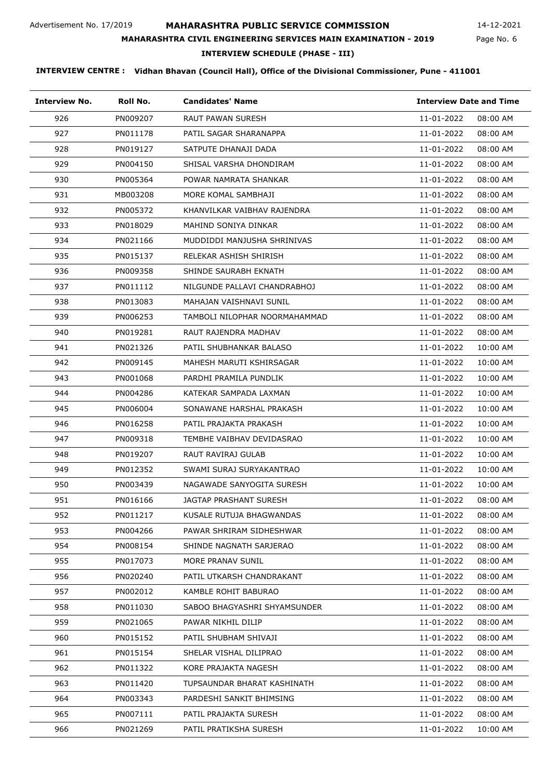Page No. 6 14-12-2021

#### **MAHARASHTRA CIVIL ENGINEERING SERVICES MAIN EXAMINATION - 2019**

**INTERVIEW SCHEDULE (PHASE - III)**

| <b>Interview No.</b> | Roll No. | <b>Candidates' Name</b>       | <b>Interview Date and Time</b> |
|----------------------|----------|-------------------------------|--------------------------------|
| 926                  | PN009207 | <b>RAUT PAWAN SURESH</b>      | 11-01-2022<br>08:00 AM         |
| 927                  | PN011178 | PATIL SAGAR SHARANAPPA        | 11-01-2022<br>08:00 AM         |
| 928                  | PN019127 | SATPUTE DHANAJI DADA          | 11-01-2022<br>08:00 AM         |
| 929                  | PN004150 | SHISAL VARSHA DHONDIRAM       | 11-01-2022<br>08:00 AM         |
| 930                  | PN005364 | POWAR NAMRATA SHANKAR         | 11-01-2022<br>08:00 AM         |
| 931                  | MB003208 | MORE KOMAL SAMBHAJI           | 11-01-2022<br>08:00 AM         |
| 932                  | PN005372 | KHANVILKAR VAIBHAV RAJENDRA   | 11-01-2022<br>08:00 AM         |
| 933                  | PN018029 | MAHIND SONIYA DINKAR          | 11-01-2022<br>08:00 AM         |
| 934                  | PN021166 | MUDDIDDI MANJUSHA SHRINIVAS   | 11-01-2022<br>08:00 AM         |
| 935                  | PN015137 | RELEKAR ASHISH SHIRISH        | 11-01-2022<br>08:00 AM         |
| 936                  | PN009358 | SHINDE SAURABH EKNATH         | 11-01-2022<br>08:00 AM         |
| 937                  | PN011112 | NILGUNDE PALLAVI CHANDRABHOJ  | 11-01-2022<br>08:00 AM         |
| 938                  | PN013083 | MAHAJAN VAISHNAVI SUNIL       | 11-01-2022<br>08:00 AM         |
| 939                  | PN006253 | TAMBOLI NILOPHAR NOORMAHAMMAD | 11-01-2022<br>08:00 AM         |
| 940                  | PN019281 | RAUT RAJENDRA MADHAV          | 11-01-2022<br>08:00 AM         |
| 941                  | PN021326 | PATIL SHUBHANKAR BALASO       | 11-01-2022<br>10:00 AM         |
| 942                  | PN009145 | MAHESH MARUTI KSHIRSAGAR      | 11-01-2022<br>10:00 AM         |
| 943                  | PN001068 | PARDHI PRAMILA PUNDLIK        | 11-01-2022<br>10:00 AM         |
| 944                  | PN004286 | KATEKAR SAMPADA LAXMAN        | 11-01-2022<br>10:00 AM         |
| 945                  | PN006004 | SONAWANE HARSHAL PRAKASH      | 11-01-2022<br>10:00 AM         |
| 946                  | PN016258 | PATIL PRAJAKTA PRAKASH        | 11-01-2022<br>10:00 AM         |
| 947                  | PN009318 | TEMBHE VAIBHAV DEVIDASRAO     | 11-01-2022<br>10:00 AM         |
| 948                  | PN019207 | RAUT RAVIRAJ GULAB            | 11-01-2022<br>10:00 AM         |
| 949                  | PN012352 | SWAMI SURAJ SURYAKANTRAO      | 11-01-2022<br>10:00 AM         |
| 950                  | PN003439 | NAGAWADE SANYOGITA SURESH     | 11-01-2022<br>10:00 AM         |
| 951                  | PN016166 | JAGTAP PRASHANT SURESH        | 11-01-2022<br>08:00 AM         |
| 952                  | PN011217 | KUSALE RUTUJA BHAGWANDAS      | 11-01-2022<br>08:00 AM         |
| 953                  | PN004266 | PAWAR SHRIRAM SIDHESHWAR      | 11-01-2022<br>08:00 AM         |
| 954                  | PN008154 | SHINDE NAGNATH SARJERAO       | 11-01-2022<br>08:00 AM         |
| 955                  | PN017073 | MORE PRANAV SUNIL             | 11-01-2022<br>08:00 AM         |
| 956                  | PN020240 | PATIL UTKARSH CHANDRAKANT     | 11-01-2022<br>08:00 AM         |
| 957                  | PN002012 | KAMBLE ROHIT BABURAO          | 11-01-2022<br>08:00 AM         |
| 958                  | PN011030 | SABOO BHAGYASHRI SHYAMSUNDER  | 11-01-2022<br>08:00 AM         |
| 959                  | PN021065 | PAWAR NIKHIL DILIP            | 11-01-2022<br>08:00 AM         |
| 960                  | PN015152 | PATIL SHUBHAM SHIVAJI         | 11-01-2022<br>08:00 AM         |
| 961                  | PN015154 | SHELAR VISHAL DILIPRAO        | 11-01-2022<br>08:00 AM         |
| 962                  | PN011322 | KORE PRAJAKTA NAGESH          | 11-01-2022<br>08:00 AM         |
| 963                  | PN011420 | TUPSAUNDAR BHARAT KASHINATH   | 11-01-2022<br>08:00 AM         |
| 964                  | PN003343 | PARDESHI SANKIT BHIMSING      | 11-01-2022<br>08:00 AM         |
| 965                  | PN007111 | PATIL PRAJAKTA SURESH         | 11-01-2022<br>08:00 AM         |
| 966                  | PN021269 | PATIL PRATIKSHA SURESH        | 11-01-2022<br>10:00 AM         |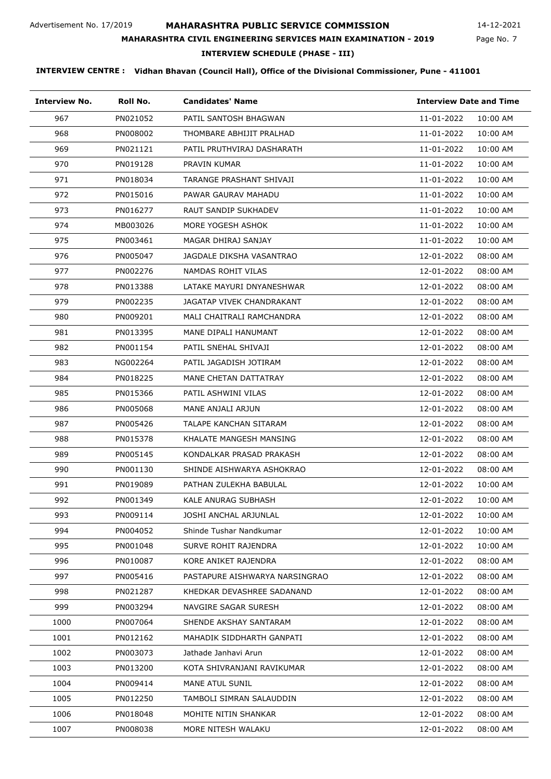Page No. 7 14-12-2021

#### **MAHARASHTRA CIVIL ENGINEERING SERVICES MAIN EXAMINATION - 2019**

**INTERVIEW SCHEDULE (PHASE - III)**

| <b>Interview No.</b> | Roll No. | <b>Candidates' Name</b>        | <b>Interview Date and Time</b> |          |
|----------------------|----------|--------------------------------|--------------------------------|----------|
| 967                  | PN021052 | PATIL SANTOSH BHAGWAN          | 11-01-2022                     | 10:00 AM |
| 968                  | PN008002 | THOMBARE ABHIJIT PRALHAD       | 11-01-2022                     | 10:00 AM |
| 969                  | PN021121 | PATIL PRUTHVIRAJ DASHARATH     | 11-01-2022                     | 10:00 AM |
| 970                  | PN019128 | PRAVIN KUMAR                   | 11-01-2022                     | 10:00 AM |
| 971                  | PN018034 | TARANGE PRASHANT SHIVAJI       | 11-01-2022                     | 10:00 AM |
| 972                  | PN015016 | PAWAR GAURAV MAHADU            | 11-01-2022                     | 10:00 AM |
| 973                  | PN016277 | <b>RAUT SANDIP SUKHADEV</b>    | 11-01-2022                     | 10:00 AM |
| 974                  | MB003026 | MORE YOGESH ASHOK              | 11-01-2022                     | 10:00 AM |
| 975                  | PN003461 | MAGAR DHIRAJ SANJAY            | 11-01-2022                     | 10:00 AM |
| 976                  | PN005047 | JAGDALE DIKSHA VASANTRAO       | 12-01-2022                     | 08:00 AM |
| 977                  | PN002276 | NAMDAS ROHIT VILAS             | 12-01-2022                     | 08:00 AM |
| 978                  | PN013388 | LATAKE MAYURI DNYANESHWAR      | 12-01-2022                     | 08:00 AM |
| 979                  | PN002235 | JAGATAP VIVEK CHANDRAKANT      | 12-01-2022                     | 08:00 AM |
| 980                  | PN009201 | MALI CHAITRALI RAMCHANDRA      | 12-01-2022                     | 08:00 AM |
| 981                  | PN013395 | MANE DIPALI HANUMANT           | 12-01-2022                     | 08:00 AM |
| 982                  | PN001154 | PATIL SNEHAL SHIVAJI           | 12-01-2022                     | 08:00 AM |
| 983                  | NG002264 | PATIL JAGADISH JOTIRAM         | 12-01-2022                     | 08:00 AM |
| 984                  | PN018225 | MANE CHETAN DATTATRAY          | 12-01-2022                     | 08:00 AM |
| 985                  | PN015366 | PATIL ASHWINI VILAS            | 12-01-2022                     | 08:00 AM |
| 986                  | PN005068 | MANE ANJALI ARJUN              | 12-01-2022                     | 08:00 AM |
| 987                  | PN005426 | TALAPE KANCHAN SITARAM         | 12-01-2022                     | 08:00 AM |
| 988                  | PN015378 | KHALATE MANGESH MANSING        | 12-01-2022                     | 08:00 AM |
| 989                  | PN005145 | KONDALKAR PRASAD PRAKASH       | 12-01-2022                     | 08:00 AM |
| 990                  | PN001130 | SHINDE AISHWARYA ASHOKRAO      | 12-01-2022                     | 08:00 AM |
| 991                  | PN019089 | PATHAN ZULEKHA BABULAL         | 12-01-2022                     | 10:00 AM |
| 992                  | PN001349 | KALE ANURAG SUBHASH            | 12-01-2022                     | 10:00 AM |
| 993                  | PN009114 | JOSHI ANCHAL ARJUNLAL          | 12-01-2022                     | 10:00 AM |
| 994                  | PN004052 | Shinde Tushar Nandkumar        | 12-01-2022                     | 10:00 AM |
| 995                  | PN001048 | SURVE ROHIT RAJENDRA           | 12-01-2022                     | 10:00 AM |
| 996                  | PN010087 | KORE ANIKET RAJENDRA           | 12-01-2022                     | 08:00 AM |
| 997                  | PN005416 | PASTAPURE AISHWARYA NARSINGRAO | 12-01-2022                     | 08:00 AM |
| 998                  | PN021287 | KHEDKAR DEVASHREE SADANAND     | 12-01-2022                     | 08:00 AM |
| 999                  | PN003294 | NAVGIRE SAGAR SURESH           | 12-01-2022                     | 08:00 AM |
| 1000                 | PN007064 | SHENDE AKSHAY SANTARAM         | 12-01-2022                     | 08:00 AM |
| 1001                 | PN012162 | MAHADIK SIDDHARTH GANPATI      | 12-01-2022                     | 08:00 AM |
| 1002                 | PN003073 | Jathade Janhavi Arun           | 12-01-2022                     | 08:00 AM |
| 1003                 | PN013200 | KOTA SHIVRANJANI RAVIKUMAR     | 12-01-2022                     | 08:00 AM |
| 1004                 | PN009414 | MANE ATUL SUNIL                | 12-01-2022                     | 08:00 AM |
| 1005                 | PN012250 | TAMBOLI SIMRAN SALAUDDIN       | 12-01-2022                     | 08:00 AM |
| 1006                 | PN018048 | MOHITE NITIN SHANKAR           | 12-01-2022                     | 08:00 AM |
| 1007                 | PN008038 | MORE NITESH WALAKU             | 12-01-2022                     | 08:00 AM |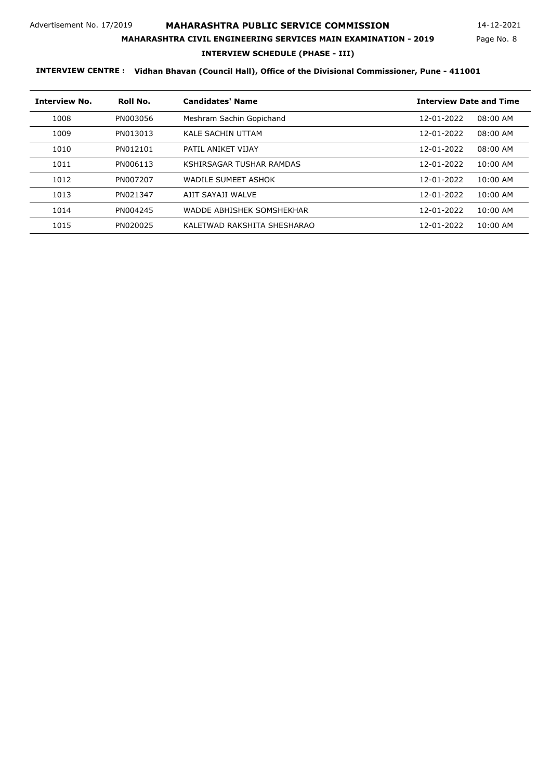Page No. 8 14-12-2021

#### **MAHARASHTRA CIVIL ENGINEERING SERVICES MAIN EXAMINATION - 2019**

**INTERVIEW SCHEDULE (PHASE - III)**

| <b>Interview No.</b> | Roll No. | <b>Candidates' Name</b>     | <b>Interview Date and Time</b> |
|----------------------|----------|-----------------------------|--------------------------------|
| 1008                 | PN003056 | Meshram Sachin Gopichand    | 12-01-2022<br>08:00 AM         |
| 1009                 | PN013013 | <b>KALE SACHIN UTTAM</b>    | 08:00 AM<br>12-01-2022         |
| 1010                 | PN012101 | PATIL ANIKET VIJAY          | 12-01-2022<br>08:00 AM         |
| 1011                 | PN006113 | KSHIRSAGAR TUSHAR RAMDAS    | 12-01-2022<br>$10:00$ AM       |
| 1012                 | PN007207 | WADILE SUMEET ASHOK         | 12-01-2022<br>$10:00$ AM       |
| 1013                 | PN021347 | AIIT SAYAII WAI VF          | $10:00$ AM<br>12-01-2022       |
| 1014                 | PN004245 | WADDE ABHISHEK SOMSHEKHAR   | $10:00$ AM<br>12-01-2022       |
| 1015                 | PN020025 | KALETWAD RAKSHITA SHESHARAO | $10:00$ AM<br>12-01-2022       |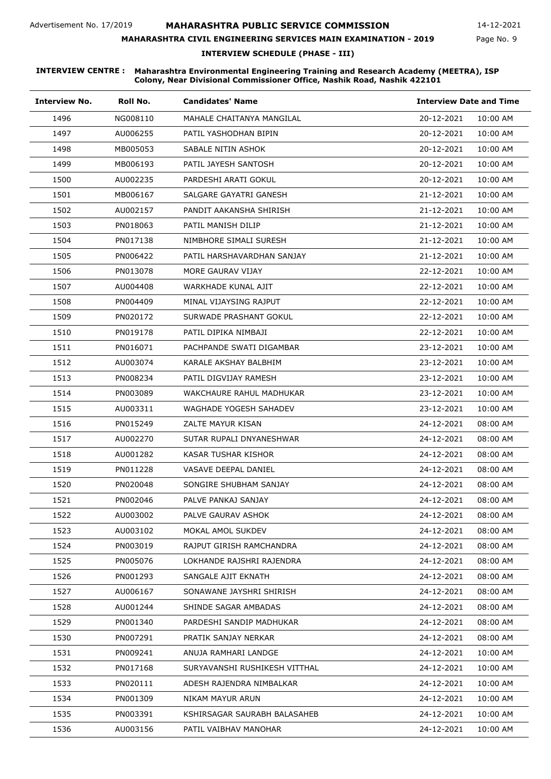### **MAHARASHTRA CIVIL ENGINEERING SERVICES MAIN EXAMINATION - 2019**

14-12-2021

Page No. 9

**INTERVIEW SCHEDULE (PHASE - III)**

| <b>Interview No.</b> | Roll No. | <b>Candidates' Name</b>       | <b>Interview Date and Time</b> |
|----------------------|----------|-------------------------------|--------------------------------|
| 1496                 | NG008110 | MAHALE CHAITANYA MANGILAL     | 20-12-2021<br>10:00 AM         |
| 1497                 | AU006255 | PATIL YASHODHAN BIPIN         | 20-12-2021<br>10:00 AM         |
| 1498                 | MB005053 | SABALE NITIN ASHOK            | 20-12-2021<br>10:00 AM         |
| 1499                 | MB006193 | PATIL JAYESH SANTOSH          | 20-12-2021<br>10:00 AM         |
| 1500                 | AU002235 | PARDESHI ARATI GOKUL          | 20-12-2021<br>10:00 AM         |
| 1501                 | MB006167 | SALGARE GAYATRI GANESH        | 21-12-2021<br>10:00 AM         |
| 1502                 | AU002157 | PANDIT AAKANSHA SHIRISH       | 21-12-2021<br>10:00 AM         |
| 1503                 | PN018063 | PATIL MANISH DILIP            | 21-12-2021<br>10:00 AM         |
| 1504                 | PN017138 | NIMBHORE SIMALI SURESH        | 21-12-2021<br>10:00 AM         |
| 1505                 | PN006422 | PATIL HARSHAVARDHAN SANJAY    | 21-12-2021<br>10:00 AM         |
| 1506                 | PN013078 | MORE GAURAV VIJAY             | 22-12-2021<br>10:00 AM         |
| 1507                 | AU004408 | WARKHADE KUNAL AJIT           | 22-12-2021<br>10:00 AM         |
| 1508                 | PN004409 | MINAL VIJAYSING RAJPUT        | 22-12-2021<br>10:00 AM         |
| 1509                 | PN020172 | SURWADE PRASHANT GOKUL        | 22-12-2021<br>10:00 AM         |
| 1510                 | PN019178 | PATIL DIPIKA NIMBAJI          | 22-12-2021<br>10:00 AM         |
| 1511                 | PN016071 | PACHPANDE SWATI DIGAMBAR      | 23-12-2021<br>10:00 AM         |
| 1512                 | AU003074 | KARALE AKSHAY BALBHIM         | 23-12-2021<br>10:00 AM         |
| 1513                 | PN008234 | PATIL DIGVIJAY RAMESH         | 23-12-2021<br>10:00 AM         |
| 1514                 | PN003089 | WAKCHAURE RAHUL MADHUKAR      | 23-12-2021<br>10:00 AM         |
| 1515                 | AU003311 | WAGHADE YOGESH SAHADEV        | 23-12-2021<br>10:00 AM         |
| 1516                 | PN015249 | ZALTE MAYUR KISAN             | 24-12-2021<br>08:00 AM         |
| 1517                 | AU002270 | SUTAR RUPALI DNYANESHWAR      | 24-12-2021<br>08:00 AM         |
| 1518                 | AU001282 | KASAR TUSHAR KISHOR           | 24-12-2021<br>08:00 AM         |
| 1519                 | PN011228 | <b>VASAVE DEEPAL DANIEL</b>   | 24-12-2021<br>08:00 AM         |
| 1520                 | PN020048 | SONGIRE SHUBHAM SANJAY        | 24-12-2021<br>08:00 AM         |
| 1521                 | PN002046 | PALVE PANKAJ SANJAY           | 24-12-2021<br>08:00 AM         |
| 1522                 | AU003002 | PALVE GAURAV ASHOK            | 24-12-2021<br>08:00 AM         |
| 1523                 | AU003102 | MOKAL AMOL SUKDEV             | 24-12-2021<br>08:00 AM         |
| 1524                 | PN003019 | RAJPUT GIRISH RAMCHANDRA      | 24-12-2021<br>08:00 AM         |
| 1525                 | PN005076 | LOKHANDE RAJSHRI RAJENDRA     | 24-12-2021<br>08:00 AM         |
| 1526                 | PN001293 | SANGALE AJIT EKNATH           | 24-12-2021<br>08:00 AM         |
| 1527                 | AU006167 | SONAWANE JAYSHRI SHIRISH      | 24-12-2021<br>08:00 AM         |
| 1528                 | AU001244 | SHINDE SAGAR AMBADAS          | 24-12-2021<br>08:00 AM         |
| 1529                 | PN001340 | PARDESHI SANDIP MADHUKAR      | 24-12-2021<br>08:00 AM         |
| 1530                 | PN007291 | PRATIK SANJAY NERKAR          | 24-12-2021<br>08:00 AM         |
| 1531                 | PN009241 | ANUJA RAMHARI LANDGE          | 24-12-2021<br>10:00 AM         |
| 1532                 | PN017168 | SURYAVANSHI RUSHIKESH VITTHAL | 24-12-2021<br>10:00 AM         |
| 1533                 | PN020111 | ADESH RAJENDRA NIMBALKAR      | 24-12-2021<br>10:00 AM         |
| 1534                 | PN001309 | NIKAM MAYUR ARUN              | 24-12-2021<br>10:00 AM         |
| 1535                 | PN003391 | KSHIRSAGAR SAURABH BALASAHEB  | 24-12-2021<br>10:00 AM         |
| 1536                 | AU003156 | PATIL VAIBHAV MANOHAR         | 24-12-2021<br>10:00 AM         |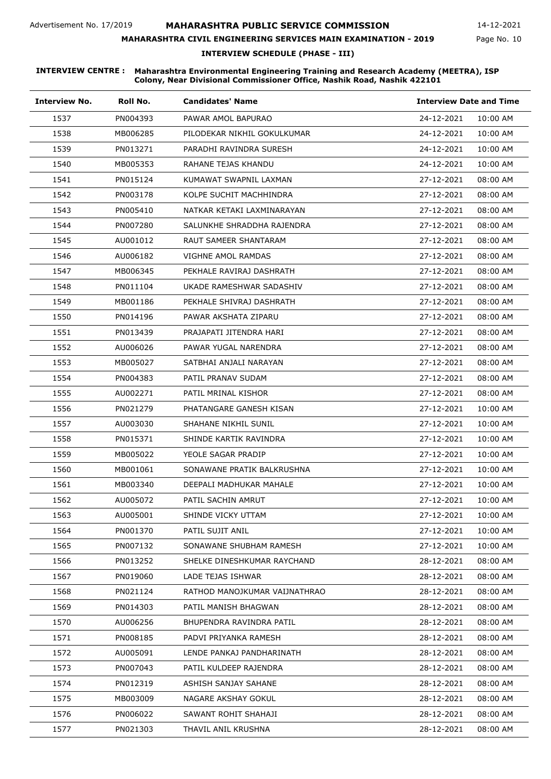### **MAHARASHTRA CIVIL ENGINEERING SERVICES MAIN EXAMINATION - 2019**

14-12-2021

Page No. 10

**INTERVIEW SCHEDULE (PHASE - III)**

| <b>Interview No.</b> | Roll No. | <b>Candidates' Name</b>       | <b>Interview Date and Time</b> |
|----------------------|----------|-------------------------------|--------------------------------|
| 1537                 | PN004393 | PAWAR AMOL BAPURAO            | 24-12-2021<br>10:00 AM         |
| 1538                 | MB006285 | PILODEKAR NIKHIL GOKULKUMAR   | 24-12-2021<br>10:00 AM         |
| 1539                 | PN013271 | PARADHI RAVINDRA SURESH       | 24-12-2021<br>10:00 AM         |
| 1540                 | MB005353 | RAHANE TEJAS KHANDU           | 24-12-2021<br>10:00 AM         |
| 1541                 | PN015124 | KUMAWAT SWAPNIL LAXMAN        | 27-12-2021<br>08:00 AM         |
| 1542                 | PN003178 | KOLPE SUCHIT MACHHINDRA       | 27-12-2021<br>08:00 AM         |
| 1543                 | PN005410 | NATKAR KETAKI LAXMINARAYAN    | 27-12-2021<br>08:00 AM         |
| 1544                 | PN007280 | SALUNKHE SHRADDHA RAJENDRA    | 27-12-2021<br>08:00 AM         |
| 1545                 | AU001012 | RAUT SAMEER SHANTARAM         | 27-12-2021<br>08:00 AM         |
| 1546                 | AU006182 | VIGHNE AMOL RAMDAS            | 27-12-2021<br>08:00 AM         |
| 1547                 | MB006345 | PEKHALE RAVIRAJ DASHRATH      | 27-12-2021<br>08:00 AM         |
| 1548                 | PN011104 | UKADE RAMESHWAR SADASHIV      | 27-12-2021<br>08:00 AM         |
| 1549                 | MB001186 | PEKHALE SHIVRAJ DASHRATH      | 27-12-2021<br>08:00 AM         |
| 1550                 | PN014196 | PAWAR AKSHATA ZIPARU          | 27-12-2021<br>08:00 AM         |
| 1551                 | PN013439 | PRAJAPATI JITENDRA HARI       | 27-12-2021<br>08:00 AM         |
| 1552                 | AU006026 | PAWAR YUGAL NARENDRA          | 27-12-2021<br>08:00 AM         |
| 1553                 | MB005027 | SATBHAI ANJALI NARAYAN        | 27-12-2021<br>08:00 AM         |
| 1554                 | PN004383 | PATIL PRANAV SUDAM            | 27-12-2021<br>08:00 AM         |
| 1555                 | AU002271 | PATIL MRINAL KISHOR           | 27-12-2021<br>08:00 AM         |
| 1556                 | PN021279 | PHATANGARE GANESH KISAN       | 27-12-2021<br>10:00 AM         |
| 1557                 | AU003030 | SHAHANE NIKHIL SUNIL          | 27-12-2021<br>10:00 AM         |
| 1558                 | PN015371 | SHINDE KARTIK RAVINDRA        | 27-12-2021<br>10:00 AM         |
| 1559                 | MB005022 | YEOLE SAGAR PRADIP            | 27-12-2021<br>10:00 AM         |
| 1560                 | MB001061 | SONAWANE PRATIK BALKRUSHNA    | 27-12-2021<br>10:00 AM         |
| 1561                 | MB003340 | DEEPALI MADHUKAR MAHALE       | 27-12-2021<br>10:00 AM         |
| 1562                 | AU005072 | PATIL SACHIN AMRUT            | 27-12-2021<br>10:00 AM         |
| 1563                 | AU005001 | SHINDE VICKY UTTAM            | 27-12-2021<br>10:00 AM         |
| 1564                 | PN001370 | PATIL SUJIT ANIL              | 27-12-2021<br>10:00 AM         |
| 1565                 | PN007132 | SONAWANE SHUBHAM RAMESH       | 27-12-2021<br>10:00 AM         |
| 1566                 | PN013252 | SHELKE DINESHKUMAR RAYCHAND   | 28-12-2021<br>08:00 AM         |
| 1567                 | PN019060 | LADE TEJAS ISHWAR             | 28-12-2021<br>08:00 AM         |
| 1568                 | PN021124 | RATHOD MANOJKUMAR VAIJNATHRAO | 28-12-2021<br>08:00 AM         |
| 1569                 | PN014303 | PATIL MANISH BHAGWAN          | 28-12-2021<br>08:00 AM         |
| 1570                 | AU006256 | BHUPENDRA RAVINDRA PATIL      | 28-12-2021<br>08:00 AM         |
| 1571                 | PN008185 | PADVI PRIYANKA RAMESH         | 28-12-2021<br>08:00 AM         |
| 1572                 | AU005091 | LENDE PANKAJ PANDHARINATH     | 28-12-2021<br>08:00 AM         |
| 1573                 | PN007043 | PATIL KULDEEP RAJENDRA        | 28-12-2021<br>08:00 AM         |
| 1574                 | PN012319 | ASHISH SANJAY SAHANE          | 28-12-2021<br>08:00 AM         |
| 1575                 | MB003009 | NAGARE AKSHAY GOKUL           | 28-12-2021<br>08:00 AM         |
| 1576                 | PN006022 | SAWANT ROHIT SHAHAJI          | 28-12-2021<br>08:00 AM         |
| 1577                 | PN021303 | THAVIL ANIL KRUSHNA           | 28-12-2021<br>08:00 AM         |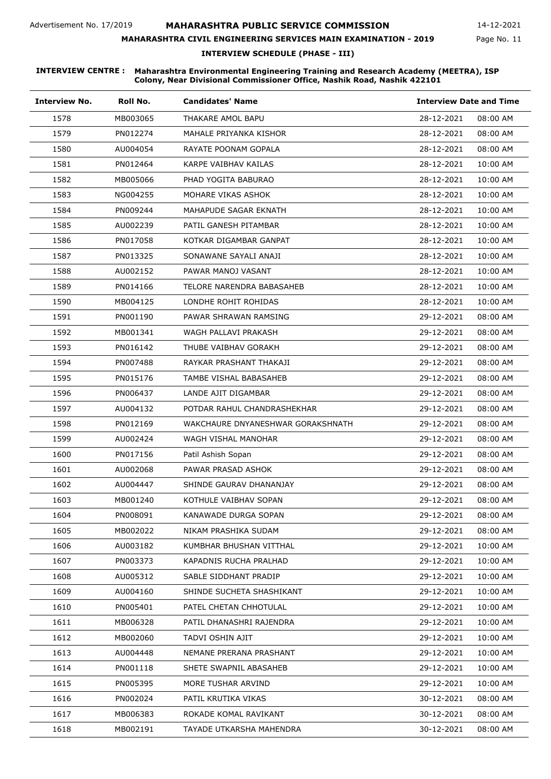#### **MAHARASHTRA CIVIL ENGINEERING SERVICES MAIN EXAMINATION - 2019**

14-12-2021

Page No. 11

**INTERVIEW SCHEDULE (PHASE - III)**

| <b>Interview No.</b> | Roll No. | <b>Candidates' Name</b>           | <b>Interview Date and Time</b> |          |
|----------------------|----------|-----------------------------------|--------------------------------|----------|
| 1578                 | MB003065 | THAKARE AMOL BAPU                 | 28-12-2021                     | 08:00 AM |
| 1579                 | PN012274 | MAHALE PRIYANKA KISHOR            | 28-12-2021                     | 08:00 AM |
| 1580                 | AU004054 | RAYATE POONAM GOPALA              | 28-12-2021                     | 08:00 AM |
| 1581                 | PN012464 | KARPE VAIBHAV KAILAS              | 28-12-2021                     | 10:00 AM |
| 1582                 | MB005066 | PHAD YOGITA BABURAO               | 28-12-2021                     | 10:00 AM |
| 1583                 | NG004255 | MOHARE VIKAS ASHOK                | 28-12-2021                     | 10:00 AM |
| 1584                 | PN009244 | MAHAPUDE SAGAR EKNATH             | 28-12-2021                     | 10:00 AM |
| 1585                 | AU002239 | PATIL GANESH PITAMBAR             | 28-12-2021                     | 10:00 AM |
| 1586                 | PN017058 | KOTKAR DIGAMBAR GANPAT            | 28-12-2021                     | 10:00 AM |
| 1587                 | PN013325 | SONAWANE SAYALI ANAJI             | 28-12-2021                     | 10:00 AM |
| 1588                 | AU002152 | PAWAR MANOJ VASANT                | 28-12-2021                     | 10:00 AM |
| 1589                 | PN014166 | TELORE NARENDRA BABASAHEB         | 28-12-2021                     | 10:00 AM |
| 1590                 | MB004125 | LONDHE ROHIT ROHIDAS              | 28-12-2021                     | 10:00 AM |
| 1591                 | PN001190 | PAWAR SHRAWAN RAMSING             | 29-12-2021                     | 08:00 AM |
| 1592                 | MB001341 | WAGH PALLAVI PRAKASH              | 29-12-2021                     | 08:00 AM |
| 1593                 | PN016142 | THUBE VAIBHAV GORAKH              | 29-12-2021                     | 08:00 AM |
| 1594                 | PN007488 | RAYKAR PRASHANT THAKAJI           | 29-12-2021                     | 08:00 AM |
| 1595                 | PN015176 | TAMBE VISHAL BABASAHEB            | 29-12-2021                     | 08:00 AM |
| 1596                 | PN006437 | LANDE AJIT DIGAMBAR               | 29-12-2021                     | 08:00 AM |
| 1597                 | AU004132 | POTDAR RAHUL CHANDRASHEKHAR       | 29-12-2021                     | 08:00 AM |
| 1598                 | PN012169 | WAKCHAURE DNYANESHWAR GORAKSHNATH | 29-12-2021                     | 08:00 AM |
| 1599                 | AU002424 | WAGH VISHAL MANOHAR               | 29-12-2021                     | 08:00 AM |
| 1600                 | PN017156 | Patil Ashish Sopan                | 29-12-2021                     | 08:00 AM |
| 1601                 | AU002068 | PAWAR PRASAD ASHOK                | 29-12-2021                     | 08:00 AM |
| 1602                 | AU004447 | SHINDE GAURAV DHANANJAY           | 29-12-2021                     | 08:00 AM |
| 1603                 | MB001240 | KOTHULE VAIBHAV SOPAN             | 29-12-2021                     | 08:00 AM |
| 1604                 | PN008091 | KANAWADE DURGA SOPAN              | 29-12-2021                     | 08:00 AM |
| 1605                 | MB002022 | NIKAM PRASHIKA SUDAM              | 29-12-2021                     | 08:00 AM |
| 1606                 | AU003182 | KUMBHAR BHUSHAN VITTHAL           | 29-12-2021                     | 10:00 AM |
| 1607                 | PN003373 | KAPADNIS RUCHA PRALHAD            | 29-12-2021                     | 10:00 AM |
| 1608                 | AU005312 | SABLE SIDDHANT PRADIP             | 29-12-2021                     | 10:00 AM |
| 1609                 | AU004160 | SHINDE SUCHETA SHASHIKANT         | 29-12-2021                     | 10:00 AM |
| 1610                 | PN005401 | PATEL CHETAN CHHOTULAL            | 29-12-2021                     | 10:00 AM |
| 1611                 | MB006328 | PATIL DHANASHRI RAJENDRA          | 29-12-2021                     | 10:00 AM |
| 1612                 | MB002060 | TADVI OSHIN AJIT                  | 29-12-2021                     | 10:00 AM |
| 1613                 | AU004448 | NEMANE PRERANA PRASHANT           | 29-12-2021                     | 10:00 AM |
| 1614                 | PN001118 | SHETE SWAPNIL ABASAHEB            | 29-12-2021                     | 10:00 AM |
| 1615                 | PN005395 | MORE TUSHAR ARVIND                | 29-12-2021                     | 10:00 AM |
| 1616                 | PN002024 | PATIL KRUTIKA VIKAS               | 30-12-2021                     | 08:00 AM |
| 1617                 | MB006383 | ROKADE KOMAL RAVIKANT             | 30-12-2021                     | 08:00 AM |
| 1618                 | MB002191 | TAYADE UTKARSHA MAHENDRA          | 30-12-2021                     | 08:00 AM |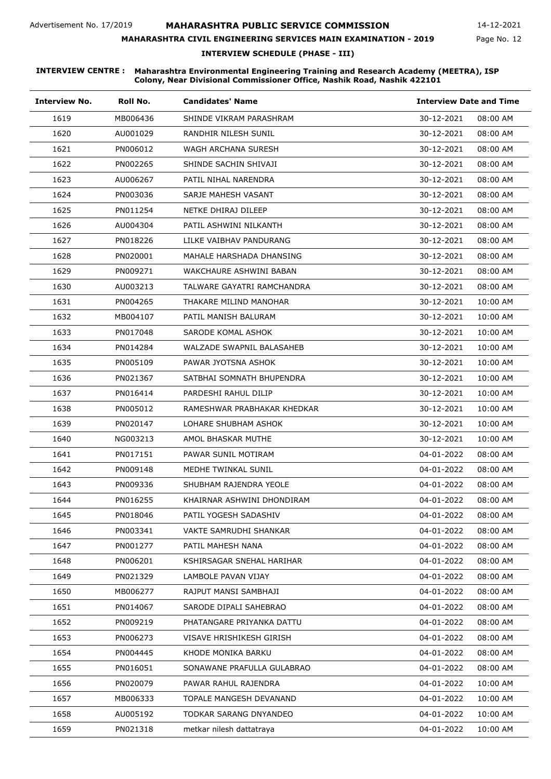### **MAHARASHTRA CIVIL ENGINEERING SERVICES MAIN EXAMINATION - 2019**

14-12-2021

Page No. 12

**INTERVIEW SCHEDULE (PHASE - III)**

| <b>Interview No.</b> | Roll No. | <b>Candidates' Name</b>     | <b>Interview Date and Time</b> |          |
|----------------------|----------|-----------------------------|--------------------------------|----------|
| 1619                 | MB006436 | SHINDE VIKRAM PARASHRAM     | 30-12-2021                     | 08:00 AM |
| 1620                 | AU001029 | RANDHIR NILESH SUNIL        | 30-12-2021                     | 08:00 AM |
| 1621                 | PN006012 | WAGH ARCHANA SURESH         | 30-12-2021                     | 08:00 AM |
| 1622                 | PN002265 | SHINDE SACHIN SHIVAJI       | 30-12-2021                     | 08:00 AM |
| 1623                 | AU006267 | PATIL NIHAL NARENDRA        | 30-12-2021                     | 08:00 AM |
| 1624                 | PN003036 | SARJE MAHESH VASANT         | 30-12-2021                     | 08:00 AM |
| 1625                 | PN011254 | NETKE DHIRAJ DILEEP         | 30-12-2021                     | 08:00 AM |
| 1626                 | AU004304 | PATIL ASHWINI NILKANTH      | 30-12-2021                     | 08:00 AM |
| 1627                 | PN018226 | LILKE VAIBHAV PANDURANG     | 30-12-2021                     | 08:00 AM |
| 1628                 | PN020001 | MAHALE HARSHADA DHANSING    | 30-12-2021                     | 08:00 AM |
| 1629                 | PN009271 | WAKCHAURE ASHWINI BABAN     | 30-12-2021                     | 08:00 AM |
| 1630                 | AU003213 | TALWARE GAYATRI RAMCHANDRA  | 30-12-2021                     | 08:00 AM |
| 1631                 | PN004265 | THAKARE MILIND MANOHAR      | 30-12-2021                     | 10:00 AM |
| 1632                 | MB004107 | PATIL MANISH BALURAM        | 30-12-2021                     | 10:00 AM |
| 1633                 | PN017048 | SARODE KOMAL ASHOK          | 30-12-2021                     | 10:00 AM |
| 1634                 | PN014284 | WALZADE SWAPNIL BALASAHEB   | 30-12-2021                     | 10:00 AM |
| 1635                 | PN005109 | PAWAR JYOTSNA ASHOK         | 30-12-2021                     | 10:00 AM |
| 1636                 | PN021367 | SATBHAI SOMNATH BHUPENDRA   | 30-12-2021                     | 10:00 AM |
| 1637                 | PN016414 | PARDESHI RAHUL DILIP        | 30-12-2021                     | 10:00 AM |
| 1638                 | PN005012 | RAMESHWAR PRABHAKAR KHEDKAR | 30-12-2021                     | 10:00 AM |
| 1639                 | PN020147 | LOHARE SHUBHAM ASHOK        | 30-12-2021                     | 10:00 AM |
| 1640                 | NG003213 | AMOL BHASKAR MUTHE          | 30-12-2021                     | 10:00 AM |
| 1641                 | PN017151 | PAWAR SUNIL MOTIRAM         | 04-01-2022                     | 08:00 AM |
| 1642                 | PN009148 | MEDHE TWINKAL SUNIL         | 04-01-2022                     | 08:00 AM |
| 1643                 | PN009336 | SHUBHAM RAJENDRA YEOLE      | 04-01-2022                     | 08:00 AM |
| 1644                 | PN016255 | KHAIRNAR ASHWINI DHONDIRAM  | 04-01-2022                     | 08:00 AM |
| 1645                 | PN018046 | PATIL YOGESH SADASHIV       | 04-01-2022                     | 08:00 AM |
| 1646                 | PN003341 | VAKTE SAMRUDHI SHANKAR      | 04-01-2022                     | 08:00 AM |
| 1647                 | PN001277 | PATIL MAHESH NANA           | 04-01-2022                     | 08:00 AM |
| 1648                 | PN006201 | KSHIRSAGAR SNEHAL HARIHAR   | 04-01-2022                     | 08:00 AM |
| 1649                 | PN021329 | LAMBOLE PAVAN VIJAY         | 04-01-2022                     | 08:00 AM |
| 1650                 | MB006277 | RAJPUT MANSI SAMBHAJI       | 04-01-2022                     | 08:00 AM |
| 1651                 | PN014067 | SARODE DIPALI SAHEBRAO      | 04-01-2022                     | 08:00 AM |
| 1652                 | PN009219 | PHATANGARE PRIYANKA DATTU   | 04-01-2022                     | 08:00 AM |
| 1653                 | PN006273 | VISAVE HRISHIKESH GIRISH    | 04-01-2022                     | 08:00 AM |
| 1654                 | PN004445 | KHODE MONIKA BARKU          | 04-01-2022                     | 08:00 AM |
| 1655                 | PN016051 | SONAWANE PRAFULLA GULABRAO  | 04-01-2022                     | 08:00 AM |
| 1656                 | PN020079 | PAWAR RAHUL RAJENDRA        | 04-01-2022                     | 10:00 AM |
| 1657                 | MB006333 | TOPALE MANGESH DEVANAND     | 04-01-2022                     | 10:00 AM |
| 1658                 | AU005192 | TODKAR SARANG DNYANDEO      | 04-01-2022                     | 10:00 AM |
| 1659                 | PN021318 | metkar nilesh dattatraya    | 04-01-2022                     | 10:00 AM |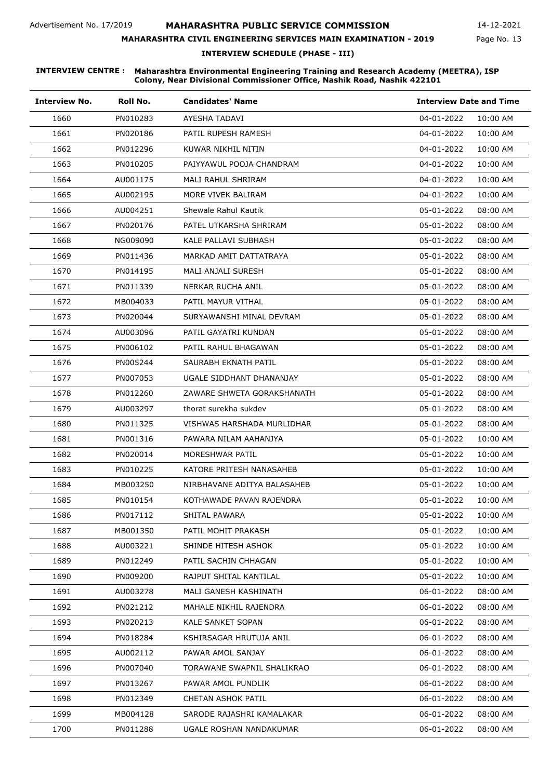#### **MAHARASHTRA CIVIL ENGINEERING SERVICES MAIN EXAMINATION - 2019**

14-12-2021

Page No. 13

**INTERVIEW SCHEDULE (PHASE - III)**

| <b>Interview No.</b> | Roll No. | <b>Candidates' Name</b>     | <b>Interview Date and Time</b> |
|----------------------|----------|-----------------------------|--------------------------------|
| 1660                 | PN010283 | AYESHA TADAVI               | 04-01-2022<br>10:00 AM         |
| 1661                 | PN020186 | PATIL RUPESH RAMESH         | 04-01-2022<br>10:00 AM         |
| 1662                 | PN012296 | KUWAR NIKHIL NITIN          | 04-01-2022<br>10:00 AM         |
| 1663                 | PN010205 | PAIYYAWUL POOJA CHANDRAM    | 04-01-2022<br>10:00 AM         |
| 1664                 | AU001175 | MALI RAHUL SHRIRAM          | 04-01-2022<br>10:00 AM         |
| 1665                 | AU002195 | MORE VIVEK BALIRAM          | 04-01-2022<br>10:00 AM         |
| 1666                 | AU004251 | Shewale Rahul Kautik        | 05-01-2022<br>08:00 AM         |
| 1667                 | PN020176 | PATEL UTKARSHA SHRIRAM      | 05-01-2022<br>08:00 AM         |
| 1668                 | NG009090 | KALE PALLAVI SUBHASH        | 05-01-2022<br>08:00 AM         |
| 1669                 | PN011436 | MARKAD AMIT DATTATRAYA      | 05-01-2022<br>08:00 AM         |
| 1670                 | PN014195 | MALI ANJALI SURESH          | 05-01-2022<br>08:00 AM         |
| 1671                 | PN011339 | NERKAR RUCHA ANIL           | 05-01-2022<br>08:00 AM         |
| 1672                 | MB004033 | PATIL MAYUR VITHAL          | 05-01-2022<br>08:00 AM         |
| 1673                 | PN020044 | SURYAWANSHI MINAL DEVRAM    | 05-01-2022<br>08:00 AM         |
| 1674                 | AU003096 | PATIL GAYATRI KUNDAN        | 05-01-2022<br>08:00 AM         |
| 1675                 | PN006102 | PATIL RAHUL BHAGAWAN        | 05-01-2022<br>08:00 AM         |
| 1676                 | PN005244 | SAURABH EKNATH PATIL        | 05-01-2022<br>08:00 AM         |
| 1677                 | PN007053 | UGALE SIDDHANT DHANANJAY    | 05-01-2022<br>08:00 AM         |
| 1678                 | PN012260 | ZAWARE SHWETA GORAKSHANATH  | 05-01-2022<br>08:00 AM         |
| 1679                 | AU003297 | thorat surekha sukdev       | 05-01-2022<br>08:00 AM         |
| 1680                 | PN011325 | VISHWAS HARSHADA MURLIDHAR  | 05-01-2022<br>08:00 AM         |
| 1681                 | PN001316 | PAWARA NILAM AAHANJYA       | 05-01-2022<br>10:00 AM         |
| 1682                 | PN020014 | MORESHWAR PATIL             | 05-01-2022<br>10:00 AM         |
| 1683                 | PN010225 | KATORE PRITESH NANASAHEB    | 05-01-2022<br>10:00 AM         |
| 1684                 | MB003250 | NIRBHAVANE ADITYA BALASAHEB | 05-01-2022<br>10:00 AM         |
| 1685                 | PN010154 | KOTHAWADE PAVAN RAJENDRA    | 05-01-2022<br>10:00 AM         |
| 1686                 | PN017112 | SHITAL PAWARA               | 05-01-2022<br>10:00 AM         |
| 1687                 | MB001350 | PATIL MOHIT PRAKASH         | 05-01-2022<br>10:00 AM         |
| 1688                 | AU003221 | SHINDE HITESH ASHOK         | 05-01-2022<br>10:00 AM         |
| 1689                 | PN012249 | PATIL SACHIN CHHAGAN        | 05-01-2022<br>10:00 AM         |
| 1690                 | PN009200 | RAJPUT SHITAL KANTILAL      | 05-01-2022<br>10:00 AM         |
| 1691                 | AU003278 | MALI GANESH KASHINATH       | 06-01-2022<br>08:00 AM         |
| 1692                 | PN021212 | MAHALE NIKHIL RAJENDRA      | 06-01-2022<br>08:00 AM         |
| 1693                 | PN020213 | KALE SANKET SOPAN           | 06-01-2022<br>08:00 AM         |
| 1694                 | PN018284 | KSHIRSAGAR HRUTUJA ANIL     | 06-01-2022<br>08:00 AM         |
| 1695                 | AU002112 | PAWAR AMOL SANJAY           | 06-01-2022<br>08:00 AM         |
| 1696                 | PN007040 | TORAWANE SWAPNIL SHALIKRAO  | 06-01-2022<br>08:00 AM         |
| 1697                 | PN013267 | PAWAR AMOL PUNDLIK          | 06-01-2022<br>08:00 AM         |
| 1698                 | PN012349 | CHETAN ASHOK PATIL          | 06-01-2022<br>08:00 AM         |
| 1699                 | MB004128 | SARODE RAJASHRI KAMALAKAR   | 06-01-2022<br>08:00 AM         |
| 1700                 | PN011288 | UGALE ROSHAN NANDAKUMAR     | 06-01-2022<br>08:00 AM         |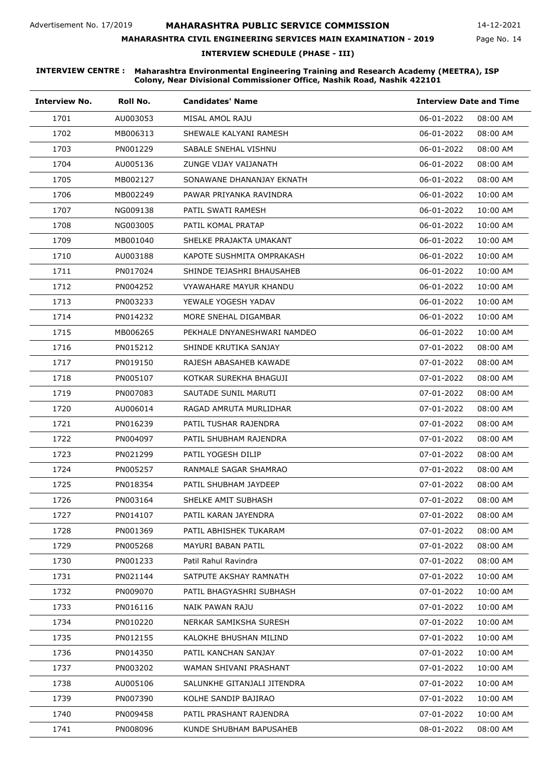# **MAHARASHTRA CIVIL ENGINEERING SERVICES MAIN EXAMINATION - 2019**

14-12-2021

Page No. 14

**INTERVIEW SCHEDULE (PHASE - III)**

| <b>Interview No.</b> | Roll No. | <b>Candidates' Name</b>     | <b>Interview Date and Time</b> |          |
|----------------------|----------|-----------------------------|--------------------------------|----------|
| 1701                 | AU003053 | MISAL AMOL RAJU             | 06-01-2022                     | 08:00 AM |
| 1702                 | MB006313 | SHEWALE KALYANI RAMESH      | 06-01-2022                     | 08:00 AM |
| 1703                 | PN001229 | SABALE SNEHAL VISHNU        | 06-01-2022                     | 08:00 AM |
| 1704                 | AU005136 | ZUNGE VIJAY VAIJANATH       | 06-01-2022                     | 08:00 AM |
| 1705                 | MB002127 | SONAWANE DHANANJAY EKNATH   | 06-01-2022                     | 08:00 AM |
| 1706                 | MB002249 | PAWAR PRIYANKA RAVINDRA     | 06-01-2022                     | 10:00 AM |
| 1707                 | NG009138 | PATIL SWATI RAMESH          | 06-01-2022                     | 10:00 AM |
| 1708                 | NG003005 | PATIL KOMAL PRATAP          | 06-01-2022                     | 10:00 AM |
| 1709                 | MB001040 | SHELKE PRAJAKTA UMAKANT     | 06-01-2022                     | 10:00 AM |
| 1710                 | AU003188 | KAPOTE SUSHMITA OMPRAKASH   | 06-01-2022                     | 10:00 AM |
| 1711                 | PN017024 | SHINDE TEJASHRI BHAUSAHEB   | 06-01-2022                     | 10:00 AM |
| 1712                 | PN004252 | VYAWAHARE MAYUR KHANDU      | 06-01-2022                     | 10:00 AM |
| 1713                 | PN003233 | YEWALE YOGESH YADAV         | 06-01-2022                     | 10:00 AM |
| 1714                 | PN014232 | MORE SNEHAL DIGAMBAR        | 06-01-2022                     | 10:00 AM |
| 1715                 | MB006265 | PEKHALE DNYANESHWARI NAMDEO | 06-01-2022                     | 10:00 AM |
| 1716                 | PN015212 | SHINDE KRUTIKA SANJAY       | 07-01-2022                     | 08:00 AM |
| 1717                 | PN019150 | RAJESH ABASAHEB KAWADE      | 07-01-2022                     | 08:00 AM |
| 1718                 | PN005107 | KOTKAR SUREKHA BHAGUJI      | 07-01-2022                     | 08:00 AM |
| 1719                 | PN007083 | SAUTADE SUNIL MARUTI        | 07-01-2022                     | 08:00 AM |
| 1720                 | AU006014 | RAGAD AMRUTA MURLIDHAR      | 07-01-2022                     | 08:00 AM |
| 1721                 | PN016239 | PATIL TUSHAR RAJENDRA       | 07-01-2022                     | 08:00 AM |
| 1722                 | PN004097 | PATIL SHUBHAM RAJENDRA      | 07-01-2022                     | 08:00 AM |
| 1723                 | PN021299 | PATIL YOGESH DILIP          | 07-01-2022                     | 08:00 AM |
| 1724                 | PN005257 | RANMALE SAGAR SHAMRAO       | 07-01-2022                     | 08:00 AM |
| 1725                 | PN018354 | PATIL SHUBHAM JAYDEEP       | 07-01-2022                     | 08:00 AM |
| 1726                 | PN003164 | SHELKE AMIT SUBHASH         | 07-01-2022                     | 08:00 AM |
| 1727                 | PN014107 | PATIL KARAN JAYENDRA        | 07-01-2022                     | 08:00 AM |
| 1728                 | PN001369 | PATIL ABHISHEK TUKARAM      | 07-01-2022                     | 08:00 AM |
| 1729                 | PN005268 | MAYURI BABAN PATIL          | 07-01-2022                     | 08:00 AM |
| 1730                 | PN001233 | Patil Rahul Ravindra        | 07-01-2022                     | 08:00 AM |
| 1731                 | PN021144 | SATPUTE AKSHAY RAMNATH      | 07-01-2022                     | 10:00 AM |
| 1732                 | PN009070 | PATIL BHAGYASHRI SUBHASH    | 07-01-2022                     | 10:00 AM |
| 1733                 | PN016116 | NAIK PAWAN RAJU             | 07-01-2022                     | 10:00 AM |
| 1734                 | PN010220 | NERKAR SAMIKSHA SURESH      | 07-01-2022                     | 10:00 AM |
| 1735                 | PN012155 | KALOKHE BHUSHAN MILIND      | 07-01-2022                     | 10:00 AM |
| 1736                 | PN014350 | PATIL KANCHAN SANJAY        | 07-01-2022                     | 10:00 AM |
| 1737                 | PN003202 | WAMAN SHIVANI PRASHANT      | 07-01-2022                     | 10:00 AM |
| 1738                 | AU005106 | SALUNKHE GITANJALI JITENDRA | 07-01-2022                     | 10:00 AM |
| 1739                 | PN007390 | KOLHE SANDIP BAJIRAO        | 07-01-2022                     | 10:00 AM |
| 1740                 | PN009458 | PATIL PRASHANT RAJENDRA     | 07-01-2022                     | 10:00 AM |
| 1741                 | PN008096 | KUNDE SHUBHAM BAPUSAHEB     | 08-01-2022                     | 08:00 AM |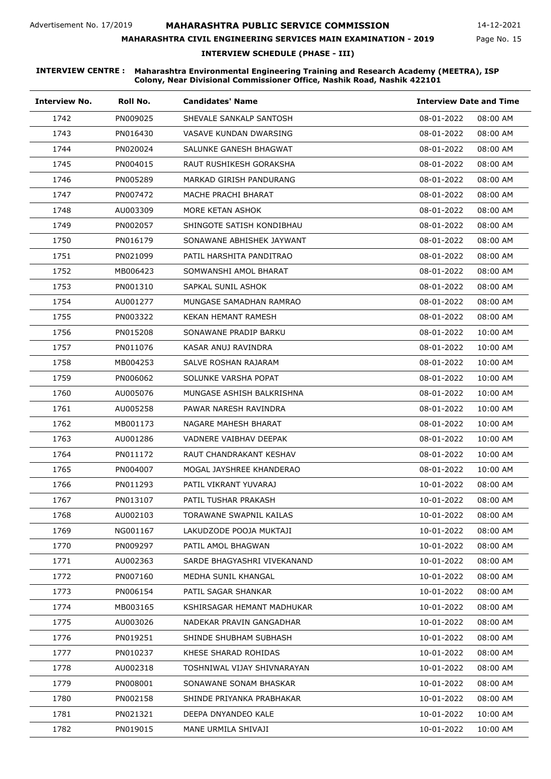### **MAHARASHTRA CIVIL ENGINEERING SERVICES MAIN EXAMINATION - 2019**

14-12-2021

Page No. 15

**INTERVIEW SCHEDULE (PHASE - III)**

| <b>Interview No.</b> | Roll No. | <b>Candidates' Name</b>     | <b>Interview Date and Time</b> |
|----------------------|----------|-----------------------------|--------------------------------|
| 1742                 | PN009025 | SHEVALE SANKALP SANTOSH     | 08-01-2022<br>08:00 AM         |
| 1743                 | PN016430 | VASAVE KUNDAN DWARSING      | 08-01-2022<br>08:00 AM         |
| 1744                 | PN020024 | SALUNKE GANESH BHAGWAT      | 08-01-2022<br>08:00 AM         |
| 1745                 | PN004015 | RAUT RUSHIKESH GORAKSHA     | 08-01-2022<br>08:00 AM         |
| 1746                 | PN005289 | MARKAD GIRISH PANDURANG     | 08-01-2022<br>08:00 AM         |
| 1747                 | PN007472 | MACHE PRACHI BHARAT         | 08-01-2022<br>08:00 AM         |
| 1748                 | AU003309 | MORE KETAN ASHOK            | 08-01-2022<br>08:00 AM         |
| 1749                 | PN002057 | SHINGOTE SATISH KONDIBHAU   | 08-01-2022<br>08:00 AM         |
| 1750                 | PN016179 | SONAWANE ABHISHEK JAYWANT   | 08-01-2022<br>08:00 AM         |
| 1751                 | PN021099 | PATIL HARSHITA PANDITRAO    | 08-01-2022<br>08:00 AM         |
| 1752                 | MB006423 | SOMWANSHI AMOL BHARAT       | 08-01-2022<br>08:00 AM         |
| 1753                 | PN001310 | SAPKAL SUNIL ASHOK          | 08-01-2022<br>08:00 AM         |
| 1754                 | AU001277 | MUNGASE SAMADHAN RAMRAO     | 08-01-2022<br>08:00 AM         |
| 1755                 | PN003322 | <b>KEKAN HEMANT RAMESH</b>  | 08-01-2022<br>08:00 AM         |
| 1756                 | PN015208 | SONAWANE PRADIP BARKU       | 08-01-2022<br>10:00 AM         |
| 1757                 | PN011076 | KASAR ANUJ RAVINDRA         | 08-01-2022<br>10:00 AM         |
| 1758                 | MB004253 | SALVE ROSHAN RAJARAM        | 08-01-2022<br>10:00 AM         |
| 1759                 | PN006062 | SOLUNKE VARSHA POPAT        | 08-01-2022<br>10:00 AM         |
| 1760                 | AU005076 | MUNGASE ASHISH BALKRISHNA   | 08-01-2022<br>10:00 AM         |
| 1761                 | AU005258 | PAWAR NARESH RAVINDRA       | 08-01-2022<br>10:00 AM         |
| 1762                 | MB001173 | NAGARE MAHESH BHARAT        | 08-01-2022<br>10:00 AM         |
| 1763                 | AU001286 | VADNERE VAIBHAV DEEPAK      | 08-01-2022<br>10:00 AM         |
| 1764                 | PN011172 | RAUT CHANDRAKANT KESHAV     | 08-01-2022<br>10:00 AM         |
| 1765                 | PN004007 | MOGAL JAYSHREE KHANDERAO    | 08-01-2022<br>10:00 AM         |
| 1766                 | PN011293 | PATIL VIKRANT YUVARAJ       | 10-01-2022<br>08:00 AM         |
| 1767                 | PN013107 | PATIL TUSHAR PRAKASH        | 10-01-2022<br>08:00 AM         |
| 1768                 | AU002103 | TORAWANE SWAPNIL KAILAS     | 10-01-2022<br>08:00 AM         |
| 1769                 | NG001167 | LAKUDZODE POOJA MUKTAJI     | 10-01-2022<br>08:00 AM         |
| 1770                 | PN009297 | PATIL AMOL BHAGWAN          | 10-01-2022<br>08:00 AM         |
| 1771                 | AU002363 | SARDE BHAGYASHRI VIVEKANAND | 10-01-2022<br>08:00 AM         |
| 1772                 | PN007160 | MEDHA SUNIL KHANGAL         | 10-01-2022<br>08:00 AM         |
| 1773                 | PN006154 | PATIL SAGAR SHANKAR         | 10-01-2022<br>08:00 AM         |
| 1774                 | MB003165 | KSHIRSAGAR HEMANT MADHUKAR  | 10-01-2022<br>08:00 AM         |
| 1775                 | AU003026 | NADEKAR PRAVIN GANGADHAR    | 10-01-2022<br>08:00 AM         |
| 1776                 | PN019251 | SHINDE SHUBHAM SUBHASH      | 10-01-2022<br>08:00 AM         |
| 1777                 | PN010237 | KHESE SHARAD ROHIDAS        | 10-01-2022<br>08:00 AM         |
| 1778                 | AU002318 | TOSHNIWAL VIJAY SHIVNARAYAN | 10-01-2022<br>08:00 AM         |
| 1779                 | PN008001 | SONAWANE SONAM BHASKAR      | 10-01-2022<br>08:00 AM         |
| 1780                 | PN002158 | SHINDE PRIYANKA PRABHAKAR   | 10-01-2022<br>08:00 AM         |
| 1781                 | PN021321 | DEEPA DNYANDEO KALE         | 10-01-2022<br>10:00 AM         |
| 1782                 | PN019015 | MANE URMILA SHIVAJI         | 10-01-2022<br>10:00 AM         |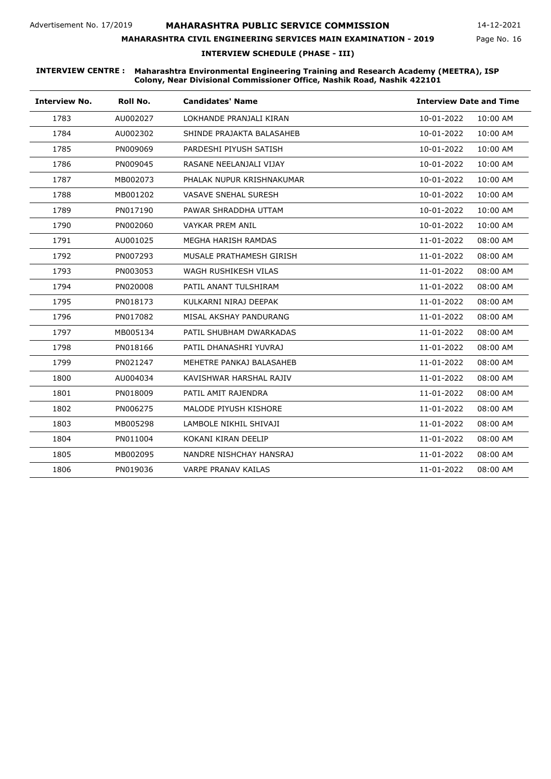# **MAHARASHTRA CIVIL ENGINEERING SERVICES MAIN EXAMINATION - 2019**

14-12-2021

Page No. 16

**INTERVIEW SCHEDULE (PHASE - III)**

| <b>Interview No.</b> | Roll No. | <b>Candidates' Name</b>     | <b>Interview Date and Time</b> |
|----------------------|----------|-----------------------------|--------------------------------|
| 1783                 | AU002027 | LOKHANDE PRANJALI KIRAN     | 10-01-2022<br>10:00 AM         |
| 1784                 | AU002302 | SHINDE PRAJAKTA BALASAHEB   | 10-01-2022<br>10:00 AM         |
| 1785                 | PN009069 | PARDESHI PIYUSH SATISH      | 10:00 AM<br>10-01-2022         |
| 1786                 | PN009045 | RASANE NEELANJALI VIJAY     | 10-01-2022<br>10:00 AM         |
| 1787                 | MB002073 | PHALAK NUPUR KRISHNAKUMAR   | 10:00 AM<br>10-01-2022         |
| 1788                 | MB001202 | <b>VASAVE SNEHAL SURESH</b> | 10-01-2022<br>10:00 AM         |
| 1789                 | PN017190 | PAWAR SHRADDHA UTTAM        | 10-01-2022<br>10:00 AM         |
| 1790                 | PN002060 | <b>VAYKAR PREM ANIL</b>     | 10-01-2022<br>10:00 AM         |
| 1791                 | AU001025 | MEGHA HARISH RAMDAS         | 11-01-2022<br>08:00 AM         |
| 1792                 | PN007293 | MUSALE PRATHAMESH GIRISH    | 11-01-2022<br>08:00 AM         |
| 1793                 | PN003053 | WAGH RUSHIKESH VILAS        | 11-01-2022<br>08:00 AM         |
| 1794                 | PN020008 | PATIL ANANT TULSHIRAM       | 11-01-2022<br>08:00 AM         |
| 1795                 | PN018173 | KULKARNI NIRAJ DEEPAK       | 11-01-2022<br>08:00 AM         |
| 1796                 | PN017082 | MISAL AKSHAY PANDURANG      | 11-01-2022<br>08:00 AM         |
| 1797                 | MB005134 | PATIL SHUBHAM DWARKADAS     | 11-01-2022<br>08:00 AM         |
| 1798                 | PN018166 | PATIL DHANASHRI YUVRAJ      | 11-01-2022<br>08:00 AM         |
| 1799                 | PN021247 | MEHETRE PANKAJ BALASAHEB    | 11-01-2022<br>08:00 AM         |
| 1800                 | AU004034 | KAVISHWAR HARSHAL RAJIV     | 11-01-2022<br>08:00 AM         |
| 1801                 | PN018009 | PATIL AMIT RAJENDRA         | 11-01-2022<br>08:00 AM         |
| 1802                 | PN006275 | MALODE PIYUSH KISHORE       | 11-01-2022<br>08:00 AM         |
| 1803                 | MB005298 | LAMBOLE NIKHIL SHIVAJI      | 11-01-2022<br>08:00 AM         |
| 1804                 | PN011004 | KOKANI KIRAN DEELIP         | 11-01-2022<br>08:00 AM         |
| 1805                 | MB002095 | NANDRE NISHCHAY HANSRAJ     | 11-01-2022<br>08:00 AM         |
| 1806                 | PN019036 | <b>VARPE PRANAV KAILAS</b>  | 11-01-2022<br>08:00 AM         |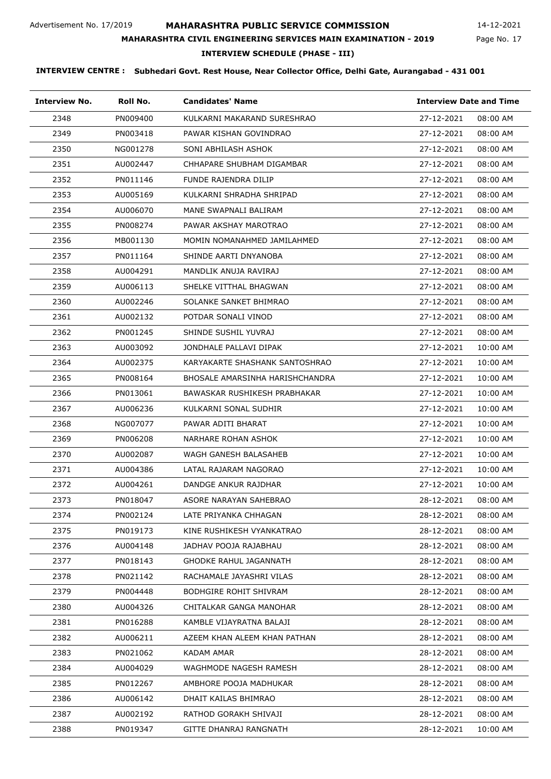### **MAHARASHTRA PUBLIC SERVICE COMMISSION**

Page No. 17 14-12-2021

# **MAHARASHTRA CIVIL ENGINEERING SERVICES MAIN EXAMINATION - 2019**

#### **INTERVIEW SCHEDULE (PHASE - III)**

| <b>Interview No.</b> | Roll No. | <b>Candidates' Name</b>         | <b>Interview Date and Time</b> |
|----------------------|----------|---------------------------------|--------------------------------|
| 2348                 | PN009400 | KULKARNI MAKARAND SURESHRAO     | 27-12-2021<br>08:00 AM         |
| 2349                 | PN003418 | PAWAR KISHAN GOVINDRAO          | 27-12-2021<br>08:00 AM         |
| 2350                 | NG001278 | SONI ABHILASH ASHOK             | 27-12-2021<br>08:00 AM         |
| 2351                 | AU002447 | CHHAPARE SHUBHAM DIGAMBAR       | 27-12-2021<br>08:00 AM         |
| 2352                 | PN011146 | FUNDE RAJENDRA DILIP            | 27-12-2021<br>08:00 AM         |
| 2353                 | AU005169 | KULKARNI SHRADHA SHRIPAD        | 27-12-2021<br>08:00 AM         |
| 2354                 | AU006070 | MANE SWAPNALI BALIRAM           | 27-12-2021<br>08:00 AM         |
| 2355                 | PN008274 | PAWAR AKSHAY MAROTRAO           | 27-12-2021<br>08:00 AM         |
| 2356                 | MB001130 | MOMIN NOMANAHMED JAMILAHMED     | 27-12-2021<br>08:00 AM         |
| 2357                 | PN011164 | SHINDE AARTI DNYANOBA           | 27-12-2021<br>08:00 AM         |
| 2358                 | AU004291 | MANDLIK ANUJA RAVIRAJ           | 27-12-2021<br>08:00 AM         |
| 2359                 | AU006113 | SHELKE VITTHAL BHAGWAN          | 27-12-2021<br>08:00 AM         |
| 2360                 | AU002246 | SOLANKE SANKET BHIMRAO          | 27-12-2021<br>08:00 AM         |
| 2361                 | AU002132 | POTDAR SONALI VINOD             | 27-12-2021<br>08:00 AM         |
| 2362                 | PN001245 | SHINDE SUSHIL YUVRAJ            | 27-12-2021<br>08:00 AM         |
| 2363                 | AU003092 | JONDHALE PALLAVI DIPAK          | 27-12-2021<br>10:00 AM         |
| 2364                 | AU002375 | KARYAKARTE SHASHANK SANTOSHRAO  | 27-12-2021<br>10:00 AM         |
| 2365                 | PN008164 | BHOSALE AMARSINHA HARISHCHANDRA | 27-12-2021<br>10:00 AM         |
| 2366                 | PN013061 | BAWASKAR RUSHIKESH PRABHAKAR    | 27-12-2021<br>10:00 AM         |
| 2367                 | AU006236 | KULKARNI SONAL SUDHIR           | 27-12-2021<br>10:00 AM         |
| 2368                 | NG007077 | PAWAR ADITI BHARAT              | 27-12-2021<br>10:00 AM         |
| 2369                 | PN006208 | NARHARE ROHAN ASHOK             | 27-12-2021<br>10:00 AM         |
| 2370                 | AU002087 | WAGH GANESH BALASAHEB           | 27-12-2021<br>10:00 AM         |
| 2371                 | AU004386 | LATAL RAJARAM NAGORAO           | 27-12-2021<br>10:00 AM         |
| 2372                 | AU004261 | DANDGE ANKUR RAJDHAR            | 27-12-2021<br>10:00 AM         |
| 2373                 | PN018047 | ASORE NARAYAN SAHEBRAO          | 28-12-2021<br>08:00 AM         |
| 2374                 | PN002124 | LATE PRIYANKA CHHAGAN           | 28-12-2021<br>08:00 AM         |
| 2375                 | PN019173 | KINE RUSHIKESH VYANKATRAO       | 28-12-2021<br>08:00 AM         |
| 2376                 | AU004148 | JADHAV POOJA RAJABHAU           | 28-12-2021<br>08:00 AM         |
| 2377                 | PN018143 | <b>GHODKE RAHUL JAGANNATH</b>   | 28-12-2021<br>08:00 AM         |
| 2378                 | PN021142 | RACHAMALE JAYASHRI VILAS        | 28-12-2021<br>08:00 AM         |
| 2379                 | PN004448 | <b>BODHGIRE ROHIT SHIVRAM</b>   | 28-12-2021<br>08:00 AM         |
| 2380                 | AU004326 | CHITALKAR GANGA MANOHAR         | 28-12-2021<br>08:00 AM         |
| 2381                 | PN016288 | KAMBLE VIJAYRATNA BALAJI        | 28-12-2021<br>08:00 AM         |
| 2382                 | AU006211 | AZEEM KHAN ALEEM KHAN PATHAN    | 28-12-2021<br>08:00 AM         |
| 2383                 | PN021062 | KADAM AMAR                      | 28-12-2021<br>08:00 AM         |
| 2384                 | AU004029 | WAGHMODE NAGESH RAMESH          | 28-12-2021<br>08:00 AM         |
| 2385                 | PN012267 | AMBHORE POOJA MADHUKAR          | 28-12-2021<br>08:00 AM         |
| 2386                 | AU006142 | DHAIT KAILAS BHIMRAO            | 28-12-2021<br>08:00 AM         |
| 2387                 | AU002192 | RATHOD GORAKH SHIVAJI           | 28-12-2021<br>08:00 AM         |
| 2388                 | PN019347 | GITTE DHANRAJ RANGNATH          | 28-12-2021<br>10:00 AM         |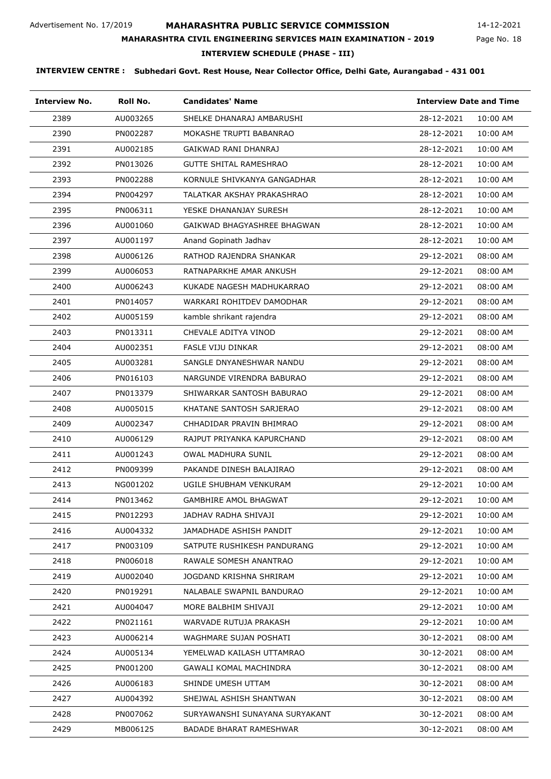### **MAHARASHTRA PUBLIC SERVICE COMMISSION**

Page No. 18 14-12-2021

#### **MAHARASHTRA CIVIL ENGINEERING SERVICES MAIN EXAMINATION - 2019**

### **INTERVIEW SCHEDULE (PHASE - III)**

| <b>Interview No.</b> | Roll No. | <b>Candidates' Name</b>        | <b>Interview Date and Time</b> |
|----------------------|----------|--------------------------------|--------------------------------|
| 2389                 | AU003265 | SHELKE DHANARAJ AMBARUSHI      | 28-12-2021<br>10:00 AM         |
| 2390                 | PN002287 | MOKASHE TRUPTI BABANRAO        | 28-12-2021<br>10:00 AM         |
| 2391                 | AU002185 | GAIKWAD RANI DHANRAJ           | 28-12-2021<br>10:00 AM         |
| 2392                 | PN013026 | <b>GUTTE SHITAL RAMESHRAO</b>  | 28-12-2021<br>10:00 AM         |
| 2393                 | PN002288 | KORNULE SHIVKANYA GANGADHAR    | 28-12-2021<br>10:00 AM         |
| 2394                 | PN004297 | TALATKAR AKSHAY PRAKASHRAO     | 28-12-2021<br>10:00 AM         |
| 2395                 | PN006311 | YESKE DHANANJAY SURESH         | 28-12-2021<br>10:00 AM         |
| 2396                 | AU001060 | GAIKWAD BHAGYASHREE BHAGWAN    | 28-12-2021<br>10:00 AM         |
| 2397                 | AU001197 | Anand Gopinath Jadhav          | 28-12-2021<br>10:00 AM         |
| 2398                 | AU006126 | RATHOD RAJENDRA SHANKAR        | 29-12-2021<br>08:00 AM         |
| 2399                 | AU006053 | RATNAPARKHE AMAR ANKUSH        | 29-12-2021<br>08:00 AM         |
| 2400                 | AU006243 | KUKADE NAGESH MADHUKARRAO      | 29-12-2021<br>08:00 AM         |
| 2401                 | PN014057 | WARKARI ROHITDEV DAMODHAR      | 29-12-2021<br>08:00 AM         |
| 2402                 | AU005159 | kamble shrikant rajendra       | 29-12-2021<br>08:00 AM         |
| 2403                 | PN013311 | CHEVALE ADITYA VINOD           | 29-12-2021<br>08:00 AM         |
| 2404                 | AU002351 | FASLE VIJU DINKAR              | 29-12-2021<br>08:00 AM         |
| 2405                 | AU003281 | SANGLE DNYANESHWAR NANDU       | 29-12-2021<br>08:00 AM         |
| 2406                 | PN016103 | NARGUNDE VIRENDRA BABURAO      | 29-12-2021<br>08:00 AM         |
| 2407                 | PN013379 | SHIWARKAR SANTOSH BABURAO      | 29-12-2021<br>08:00 AM         |
| 2408                 | AU005015 | KHATANE SANTOSH SARJERAO       | 29-12-2021<br>08:00 AM         |
| 2409                 | AU002347 | CHHADIDAR PRAVIN BHIMRAO       | 29-12-2021<br>08:00 AM         |
| 2410                 | AU006129 | RAJPUT PRIYANKA KAPURCHAND     | 29-12-2021<br>08:00 AM         |
| 2411                 | AU001243 | <b>OWAL MADHURA SUNIL</b>      | 29-12-2021<br>08:00 AM         |
| 2412                 | PN009399 | PAKANDE DINESH BALAJIRAO       | 29-12-2021<br>08:00 AM         |
| 2413                 | NG001202 | UGILE SHUBHAM VENKURAM         | 29-12-2021<br>10:00 AM         |
| 2414                 | PN013462 | GAMBHIRE AMOL BHAGWAT          | 29-12-2021<br>10:00 AM         |
| 2415                 | PN012293 | JADHAV RADHA SHIVAJI           | 29-12-2021<br>10:00 AM         |
| 2416                 | AU004332 | JAMADHADE ASHISH PANDIT        | 29-12-2021<br>10:00 AM         |
| 2417                 | PN003109 | SATPUTE RUSHIKESH PANDURANG    | 29-12-2021<br>10:00 AM         |
| 2418                 | PN006018 | RAWALE SOMESH ANANTRAO         | 29-12-2021<br>10:00 AM         |
| 2419                 | AU002040 | JOGDAND KRISHNA SHRIRAM        | 29-12-2021<br>10:00 AM         |
| 2420                 | PN019291 | NALABALE SWAPNIL BANDURAO      | 29-12-2021<br>10:00 AM         |
| 2421                 | AU004047 | MORE BALBHIM SHIVAJI           | 29-12-2021<br>10:00 AM         |
| 2422                 | PN021161 | WARVADE RUTUJA PRAKASH         | 29-12-2021<br>10:00 AM         |
| 2423                 | AU006214 | WAGHMARE SUJAN POSHATI         | 30-12-2021<br>08:00 AM         |
| 2424                 | AU005134 | YEMELWAD KAILASH UTTAMRAO      | 30-12-2021<br>08:00 AM         |
| 2425                 | PN001200 | GAWALI KOMAL MACHINDRA         | 30-12-2021<br>08:00 AM         |
| 2426                 | AU006183 | SHINDE UMESH UTTAM             | 30-12-2021<br>08:00 AM         |
| 2427                 | AU004392 | SHEJWAL ASHISH SHANTWAN        | 30-12-2021<br>08:00 AM         |
| 2428                 | PN007062 | SURYAWANSHI SUNAYANA SURYAKANT | 30-12-2021<br>08:00 AM         |
| 2429                 | MB006125 | BADADE BHARAT RAMESHWAR        | 30-12-2021<br>08:00 AM         |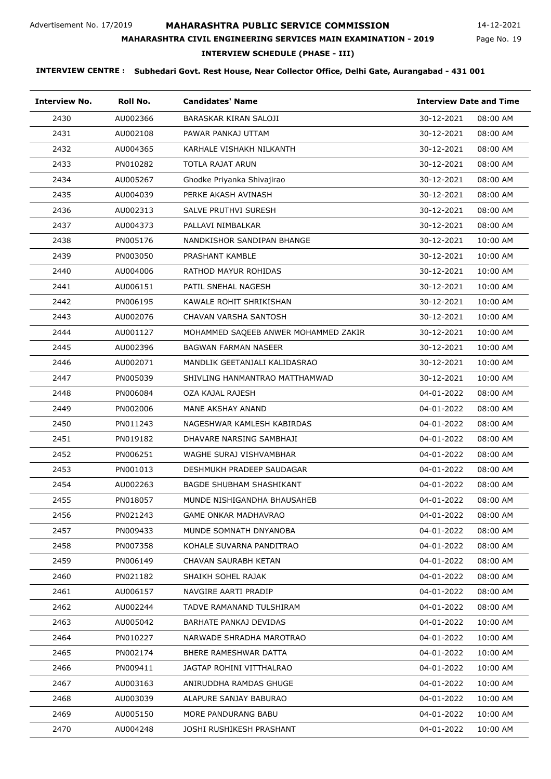### **MAHARASHTRA PUBLIC SERVICE COMMISSION**

Page No. 19 14-12-2021

# **MAHARASHTRA CIVIL ENGINEERING SERVICES MAIN EXAMINATION - 2019**

**INTERVIEW SCHEDULE (PHASE - III)**

| <b>Interview No.</b> | Roll No. | <b>Candidates' Name</b>              | <b>Interview Date and Time</b> |          |
|----------------------|----------|--------------------------------------|--------------------------------|----------|
| 2430                 | AU002366 | BARASKAR KIRAN SALOJI                | 30-12-2021                     | 08:00 AM |
| 2431                 | AU002108 | PAWAR PANKAJ UTTAM                   | 30-12-2021                     | 08:00 AM |
| 2432                 | AU004365 | KARHALE VISHAKH NILKANTH             | 30-12-2021                     | 08:00 AM |
| 2433                 | PN010282 | TOTLA RAJAT ARUN                     | 30-12-2021                     | 08:00 AM |
| 2434                 | AU005267 | Ghodke Priyanka Shivajirao           | 30-12-2021                     | 08:00 AM |
| 2435                 | AU004039 | PERKE AKASH AVINASH                  | 30-12-2021                     | 08:00 AM |
| 2436                 | AU002313 | <b>SALVE PRUTHVI SURESH</b>          | 30-12-2021                     | 08:00 AM |
| 2437                 | AU004373 | PALLAVI NIMBALKAR                    | 30-12-2021                     | 08:00 AM |
| 2438                 | PN005176 | NANDKISHOR SANDIPAN BHANGE           | 30-12-2021                     | 10:00 AM |
| 2439                 | PN003050 | PRASHANT KAMBLE                      | 30-12-2021                     | 10:00 AM |
| 2440                 | AU004006 | RATHOD MAYUR ROHIDAS                 | 30-12-2021                     | 10:00 AM |
| 2441                 | AU006151 | PATIL SNEHAL NAGESH                  | 30-12-2021                     | 10:00 AM |
| 2442                 | PN006195 | KAWALE ROHIT SHRIKISHAN              | 30-12-2021                     | 10:00 AM |
| 2443                 | AU002076 | CHAVAN VARSHA SANTOSH                | 30-12-2021                     | 10:00 AM |
| 2444                 | AU001127 | MOHAMMED SAQEEB ANWER MOHAMMED ZAKIR | 30-12-2021                     | 10:00 AM |
| 2445                 | AU002396 | <b>BAGWAN FARMAN NASEER</b>          | 30-12-2021                     | 10:00 AM |
| 2446                 | AU002071 | MANDLIK GEETANJALI KALIDASRAO        | 30-12-2021                     | 10:00 AM |
| 2447                 | PN005039 | SHIVLING HANMANTRAO MATTHAMWAD       | 30-12-2021                     | 10:00 AM |
| 2448                 | PN006084 | OZA KAJAL RAJESH                     | 04-01-2022                     | 08:00 AM |
| 2449                 | PN002006 | MANE AKSHAY ANAND                    | 04-01-2022                     | 08:00 AM |
| 2450                 | PN011243 | NAGESHWAR KAMLESH KABIRDAS           | 04-01-2022                     | 08:00 AM |
| 2451                 | PN019182 | DHAVARE NARSING SAMBHAJI             | 04-01-2022                     | 08:00 AM |
| 2452                 | PN006251 | WAGHE SURAJ VISHVAMBHAR              | 04-01-2022                     | 08:00 AM |
| 2453                 | PN001013 | DESHMUKH PRADEEP SAUDAGAR            | 04-01-2022                     | 08:00 AM |
| 2454                 | AU002263 | <b>BAGDE SHUBHAM SHASHIKANT</b>      | 04-01-2022                     | 08:00 AM |
| 2455                 | PN018057 | MUNDE NISHIGANDHA BHAUSAHEB          | 04-01-2022                     | 08:00 AM |
| 2456                 | PN021243 | <b>GAME ONKAR MADHAVRAO</b>          | 04-01-2022                     | 08:00 AM |
| 2457                 | PN009433 | MUNDE SOMNATH DNYANOBA               | 04-01-2022                     | 08:00 AM |
| 2458                 | PN007358 | KOHALE SUVARNA PANDITRAO             | 04-01-2022                     | 08:00 AM |
| 2459                 | PN006149 | CHAVAN SAURABH KETAN                 | 04-01-2022                     | 08:00 AM |
| 2460                 | PN021182 | SHAIKH SOHEL RAJAK                   | 04-01-2022                     | 08:00 AM |
| 2461                 | AU006157 | NAVGIRE AARTI PRADIP                 | 04-01-2022                     | 08:00 AM |
| 2462                 | AU002244 | TADVE RAMANAND TULSHIRAM             | 04-01-2022                     | 08:00 AM |
| 2463                 | AU005042 | BARHATE PANKAJ DEVIDAS               | 04-01-2022                     | 10:00 AM |
| 2464                 | PN010227 | NARWADE SHRADHA MAROTRAO             | 04-01-2022                     | 10:00 AM |
| 2465                 | PN002174 | BHERE RAMESHWAR DATTA                | 04-01-2022                     | 10:00 AM |
| 2466                 | PN009411 | JAGTAP ROHINI VITTHALRAO             | 04-01-2022                     | 10:00 AM |
| 2467                 | AU003163 | ANIRUDDHA RAMDAS GHUGE               | 04-01-2022                     | 10:00 AM |
| 2468                 | AU003039 | ALAPURE SANJAY BABURAO               | 04-01-2022                     | 10:00 AM |
| 2469                 | AU005150 | MORE PANDURANG BABU                  | 04-01-2022                     | 10:00 AM |
| 2470                 | AU004248 | JOSHI RUSHIKESH PRASHANT             | 04-01-2022                     | 10:00 AM |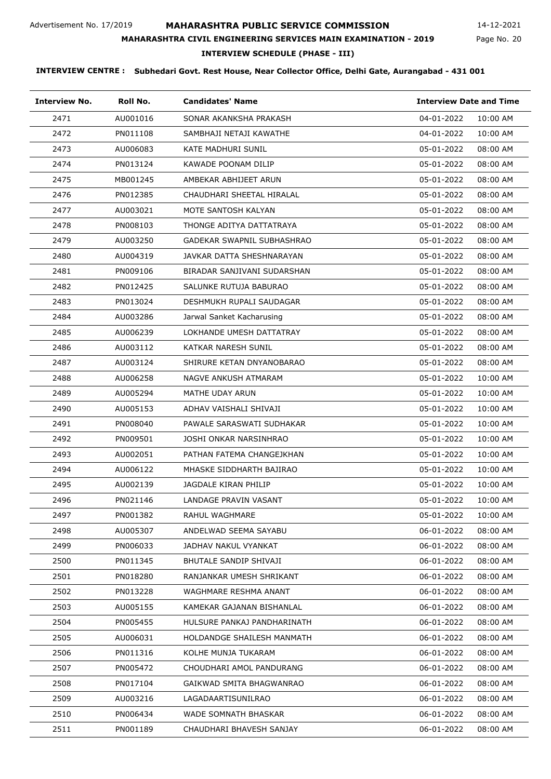Page No. 20 14-12-2021

### **MAHARASHTRA CIVIL ENGINEERING SERVICES MAIN EXAMINATION - 2019**

#### **INTERVIEW SCHEDULE (PHASE - III)**

| <b>Interview No.</b> | Roll No. | <b>Candidates' Name</b>     | <b>Interview Date and Time</b> |
|----------------------|----------|-----------------------------|--------------------------------|
| 2471                 | AU001016 | SONAR AKANKSHA PRAKASH      | 04-01-2022<br>10:00 AM         |
| 2472                 | PN011108 | SAMBHAJI NETAJI KAWATHE     | 04-01-2022<br>10:00 AM         |
| 2473                 | AU006083 | KATE MADHURI SUNIL          | 05-01-2022<br>08:00 AM         |
| 2474                 | PN013124 | KAWADE POONAM DILIP         | 05-01-2022<br>08:00 AM         |
| 2475                 | MB001245 | AMBEKAR ABHIJEET ARUN       | 05-01-2022<br>08:00 AM         |
| 2476                 | PN012385 | CHAUDHARI SHEETAL HIRALAL   | 05-01-2022<br>08:00 AM         |
| 2477                 | AU003021 | MOTE SANTOSH KALYAN         | 05-01-2022<br>08:00 AM         |
| 2478                 | PN008103 | THONGE ADITYA DATTATRAYA    | 05-01-2022<br>08:00 AM         |
| 2479                 | AU003250 | GADEKAR SWAPNIL SUBHASHRAO  | 05-01-2022<br>08:00 AM         |
| 2480                 | AU004319 | JAVKAR DATTA SHESHNARAYAN   | 05-01-2022<br>08:00 AM         |
| 2481                 | PN009106 | BIRADAR SANJIVANI SUDARSHAN | 05-01-2022<br>08:00 AM         |
| 2482                 | PN012425 | SALUNKE RUTUJA BABURAO      | 05-01-2022<br>08:00 AM         |
| 2483                 | PN013024 | DESHMUKH RUPALI SAUDAGAR    | 05-01-2022<br>08:00 AM         |
| 2484                 | AU003286 | Jarwal Sanket Kacharusing   | 05-01-2022<br>08:00 AM         |
| 2485                 | AU006239 | LOKHANDE UMESH DATTATRAY    | 05-01-2022<br>08:00 AM         |
| 2486                 | AU003112 | KATKAR NARESH SUNIL         | 05-01-2022<br>08:00 AM         |
| 2487                 | AU003124 | SHIRURE KETAN DNYANOBARAO   | 05-01-2022<br>08:00 AM         |
| 2488                 | AU006258 | NAGVE ANKUSH ATMARAM        | 05-01-2022<br>10:00 AM         |
| 2489                 | AU005294 | MATHE UDAY ARUN             | 05-01-2022<br>10:00 AM         |
| 2490                 | AU005153 | ADHAV VAISHALI SHIVAJI      | 05-01-2022<br>10:00 AM         |
| 2491                 | PN008040 | PAWALE SARASWATI SUDHAKAR   | 05-01-2022<br>10:00 AM         |
| 2492                 | PN009501 | JOSHI ONKAR NARSINHRAO      | 05-01-2022<br>10:00 AM         |
| 2493                 | AU002051 | PATHAN FATEMA CHANGEJKHAN   | 05-01-2022<br>10:00 AM         |
| 2494                 | AU006122 | MHASKE SIDDHARTH BAJIRAO    | 05-01-2022<br>10:00 AM         |
| 2495                 | AU002139 | JAGDALE KIRAN PHILIP        | 05-01-2022<br>10:00 AM         |
| 2496                 | PN021146 | LANDAGE PRAVIN VASANT       | 05-01-2022<br>10:00 AM         |
| 2497                 | PN001382 | RAHUL WAGHMARE              | 05-01-2022<br>10:00 AM         |
| 2498                 | AU005307 | ANDELWAD SEEMA SAYABU       | 06-01-2022<br>08:00 AM         |
| 2499                 | PN006033 | JADHAV NAKUL VYANKAT        | 06-01-2022<br>08:00 AM         |
| 2500                 | PN011345 | BHUTALE SANDIP SHIVAJI      | 06-01-2022<br>08:00 AM         |
| 2501                 | PN018280 | RANJANKAR UMESH SHRIKANT    | 06-01-2022<br>08:00 AM         |
| 2502                 | PN013228 | WAGHMARE RESHMA ANANT       | 06-01-2022<br>08:00 AM         |
| 2503                 | AU005155 | KAMEKAR GAJANAN BISHANLAL   | 06-01-2022<br>08:00 AM         |
| 2504                 | PN005455 | HULSURE PANKAJ PANDHARINATH | 06-01-2022<br>08:00 AM         |
| 2505                 | AU006031 | HOLDANDGE SHAILESH MANMATH  | 06-01-2022<br>08:00 AM         |
| 2506                 | PN011316 | KOLHE MUNJA TUKARAM         | 06-01-2022<br>08:00 AM         |
| 2507                 | PN005472 | CHOUDHARI AMOL PANDURANG    | 06-01-2022<br>08:00 AM         |
| 2508                 | PN017104 | GAIKWAD SMITA BHAGWANRAO    | 06-01-2022<br>08:00 AM         |
| 2509                 | AU003216 | LAGADAARTISUNILRAO          | 06-01-2022<br>08:00 AM         |
| 2510                 | PN006434 | WADE SOMNATH BHASKAR        | 06-01-2022<br>08:00 AM         |
| 2511                 | PN001189 | CHAUDHARI BHAVESH SANJAY    | 06-01-2022<br>08:00 AM         |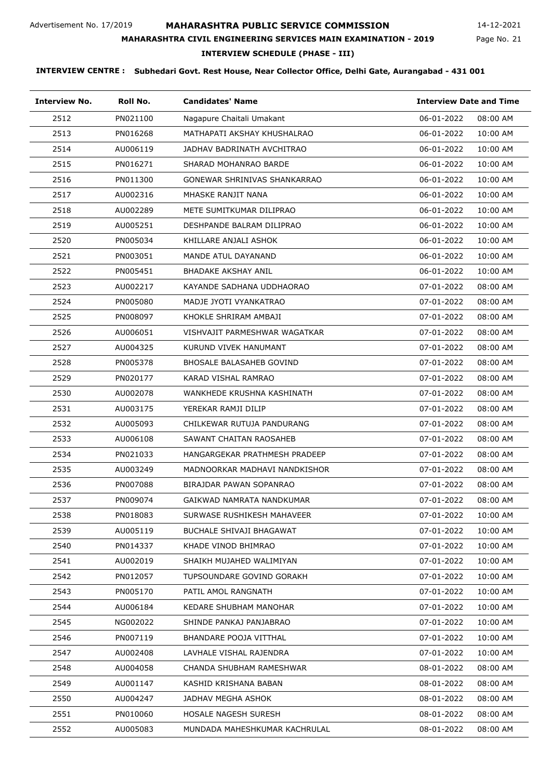### **MAHARASHTRA PUBLIC SERVICE COMMISSION**

Page No. 21 14-12-2021

# **INTERVIEW SCHEDULE (PHASE - III) MAHARASHTRA CIVIL ENGINEERING SERVICES MAIN EXAMINATION - 2019**

| <b>Interview No.</b> | Roll No. | <b>Candidates' Name</b>       | <b>Interview Date and Time</b> |
|----------------------|----------|-------------------------------|--------------------------------|
| 2512                 | PN021100 | Nagapure Chaitali Umakant     | 06-01-2022<br>08:00 AM         |
| 2513                 | PN016268 | MATHAPATI AKSHAY KHUSHALRAO   | 06-01-2022<br>10:00 AM         |
| 2514                 | AU006119 | JADHAV BADRINATH AVCHITRAO    | 06-01-2022<br>10:00 AM         |
| 2515                 | PN016271 | SHARAD MOHANRAO BARDE         | 06-01-2022<br>10:00 AM         |
| 2516                 | PN011300 | GONEWAR SHRINIVAS SHANKARRAO  | 06-01-2022<br>10:00 AM         |
| 2517                 | AU002316 | MHASKE RANJIT NANA            | 06-01-2022<br>10:00 AM         |
| 2518                 | AU002289 | METE SUMITKUMAR DILIPRAO      | 06-01-2022<br>10:00 AM         |
| 2519                 | AU005251 | DESHPANDE BALRAM DILIPRAO     | 06-01-2022<br>10:00 AM         |
| 2520                 | PN005034 | KHILLARE ANJALI ASHOK         | 06-01-2022<br>10:00 AM         |
| 2521                 | PN003051 | MANDE ATUL DAYANAND           | 06-01-2022<br>10:00 AM         |
| 2522                 | PN005451 | BHADAKE AKSHAY ANIL           | 06-01-2022<br>10:00 AM         |
| 2523                 | AU002217 | KAYANDE SADHANA UDDHAORAO     | 07-01-2022<br>08:00 AM         |
| 2524                 | PN005080 | MADJE JYOTI VYANKATRAO        | 07-01-2022<br>08:00 AM         |
| 2525                 | PN008097 | KHOKLE SHRIRAM AMBAJI         | 07-01-2022<br>08:00 AM         |
| 2526                 | AU006051 | VISHVAJIT PARMESHWAR WAGATKAR | 07-01-2022<br>08:00 AM         |
| 2527                 | AU004325 | KURUND VIVEK HANUMANT         | 07-01-2022<br>08:00 AM         |
| 2528                 | PN005378 | BHOSALE BALASAHEB GOVIND      | 07-01-2022<br>08:00 AM         |
| 2529                 | PN020177 | KARAD VISHAL RAMRAO           | 07-01-2022<br>08:00 AM         |
| 2530                 | AU002078 | WANKHEDE KRUSHNA KASHINATH    | 07-01-2022<br>08:00 AM         |
| 2531                 | AU003175 | YEREKAR RAMJI DILIP           | 07-01-2022<br>08:00 AM         |
| 2532                 | AU005093 | CHILKEWAR RUTUJA PANDURANG    | 07-01-2022<br>08:00 AM         |
| 2533                 | AU006108 | SAWANT CHAITAN RAOSAHEB       | 07-01-2022<br>08:00 AM         |
| 2534                 | PN021033 | HANGARGEKAR PRATHMESH PRADEEP | 07-01-2022<br>08:00 AM         |
| 2535                 | AU003249 | MADNOORKAR MADHAVI NANDKISHOR | 07-01-2022<br>08:00 AM         |
| 2536                 | PN007088 | BIRAJDAR PAWAN SOPANRAO       | 07-01-2022<br>08:00 AM         |
| 2537                 | PN009074 | GAIKWAD NAMRATA NANDKUMAR     | 07-01-2022<br>08:00 AM         |
| 2538                 | PN018083 | SURWASE RUSHIKESH MAHAVEER    | 07-01-2022<br>10:00 AM         |
| 2539                 | AU005119 | BUCHALE SHIVAJI BHAGAWAT      | 07-01-2022<br>10:00 AM         |
| 2540                 | PN014337 | KHADE VINOD BHIMRAO           | 07-01-2022<br>10:00 AM         |
| 2541                 | AU002019 | SHAIKH MUJAHED WALIMIYAN      | 07-01-2022<br>10:00 AM         |
| 2542                 | PN012057 | TUPSOUNDARE GOVIND GORAKH     | 07-01-2022<br>10:00 AM         |
| 2543                 | PN005170 | PATIL AMOL RANGNATH           | 07-01-2022<br>10:00 AM         |
| 2544                 | AU006184 | KEDARE SHUBHAM MANOHAR        | 07-01-2022<br>10:00 AM         |
| 2545                 | NG002022 | SHINDE PANKAJ PANJABRAO       | 07-01-2022<br>10:00 AM         |
| 2546                 | PN007119 | BHANDARE POOJA VITTHAL        | 07-01-2022<br>10:00 AM         |
| 2547                 | AU002408 | LAVHALE VISHAL RAJENDRA       | 07-01-2022<br>10:00 AM         |
| 2548                 | AU004058 | CHANDA SHUBHAM RAMESHWAR      | 08-01-2022<br>08:00 AM         |
| 2549                 | AU001147 | KASHID KRISHANA BABAN         | 08-01-2022<br>08:00 AM         |
| 2550                 | AU004247 | JADHAV MEGHA ASHOK            | 08-01-2022<br>08:00 AM         |
| 2551                 | PN010060 | HOSALE NAGESH SURESH          | 08-01-2022<br>08:00 AM         |
| 2552                 | AU005083 | MUNDADA MAHESHKUMAR KACHRULAL | 08-01-2022<br>08:00 AM         |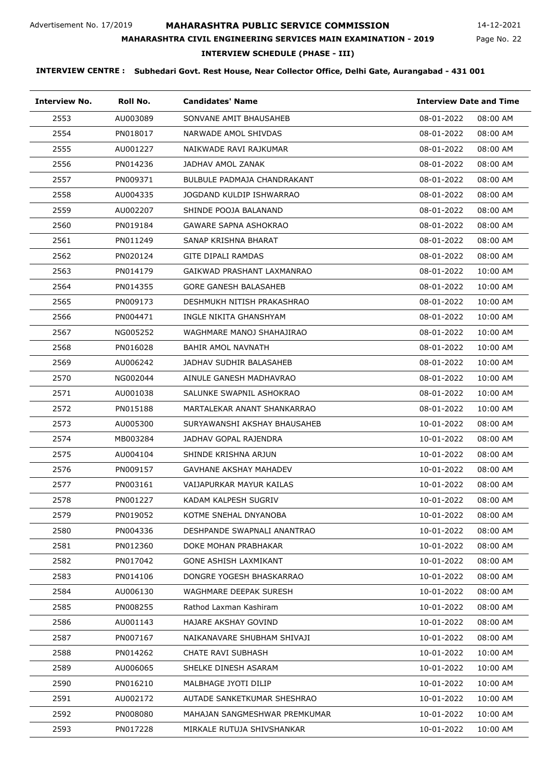### **MAHARASHTRA PUBLIC SERVICE COMMISSION**

Page No. 22 14-12-2021

#### **MAHARASHTRA CIVIL ENGINEERING SERVICES MAIN EXAMINATION - 2019**

#### **INTERVIEW SCHEDULE (PHASE - III)**

| <b>Interview No.</b> | Roll No. | <b>Candidates' Name</b>       | <b>Interview Date and Time</b> |          |
|----------------------|----------|-------------------------------|--------------------------------|----------|
| 2553                 | AU003089 | SONVANE AMIT BHAUSAHEB        | 08-01-2022                     | 08:00 AM |
| 2554                 | PN018017 | NARWADE AMOL SHIVDAS          | 08-01-2022                     | 08:00 AM |
| 2555                 | AU001227 | NAIKWADE RAVI RAJKUMAR        | 08-01-2022                     | 08:00 AM |
| 2556                 | PN014236 | JADHAV AMOL ZANAK             | 08-01-2022                     | 08:00 AM |
| 2557                 | PN009371 | BULBULE PADMAJA CHANDRAKANT   | 08-01-2022                     | 08:00 AM |
| 2558                 | AU004335 | JOGDAND KULDIP ISHWARRAO      | 08-01-2022                     | 08:00 AM |
| 2559                 | AU002207 | SHINDE POOJA BALANAND         | 08-01-2022                     | 08:00 AM |
| 2560                 | PN019184 | <b>GAWARE SAPNA ASHOKRAO</b>  | 08-01-2022                     | 08:00 AM |
| 2561                 | PN011249 | SANAP KRISHNA BHARAT          | 08-01-2022                     | 08:00 AM |
| 2562                 | PN020124 | GITE DIPALI RAMDAS            | 08-01-2022                     | 08:00 AM |
| 2563                 | PN014179 | GAIKWAD PRASHANT LAXMANRAO    | 08-01-2022                     | 10:00 AM |
| 2564                 | PN014355 | <b>GORE GANESH BALASAHEB</b>  | 08-01-2022                     | 10:00 AM |
| 2565                 | PN009173 | DESHMUKH NITISH PRAKASHRAO    | 08-01-2022                     | 10:00 AM |
| 2566                 | PN004471 | INGLE NIKITA GHANSHYAM        | 08-01-2022                     | 10:00 AM |
| 2567                 | NG005252 | WAGHMARE MANOJ SHAHAJIRAO     | 08-01-2022                     | 10:00 AM |
| 2568                 | PN016028 | BAHIR AMOL NAVNATH            | 08-01-2022                     | 10:00 AM |
| 2569                 | AU006242 | JADHAV SUDHIR BALASAHEB       | 08-01-2022                     | 10:00 AM |
| 2570                 | NG002044 | AINULE GANESH MADHAVRAO       | 08-01-2022                     | 10:00 AM |
| 2571                 | AU001038 | SALUNKE SWAPNIL ASHOKRAO      | 08-01-2022                     | 10:00 AM |
| 2572                 | PN015188 | MARTALEKAR ANANT SHANKARRAO   | 08-01-2022                     | 10:00 AM |
| 2573                 | AU005300 | SURYAWANSHI AKSHAY BHAUSAHEB  | 10-01-2022                     | 08:00 AM |
| 2574                 | MB003284 | JADHAV GOPAL RAJENDRA         | 10-01-2022                     | 08:00 AM |
| 2575                 | AU004104 | SHINDE KRISHNA ARJUN          | 10-01-2022                     | 08:00 AM |
| 2576                 | PN009157 | GAVHANE AKSHAY MAHADEV        | 10-01-2022                     | 08:00 AM |
| 2577                 | PN003161 | VAIJAPURKAR MAYUR KAILAS      | 10-01-2022                     | 08:00 AM |
| 2578                 | PN001227 | KADAM KALPESH SUGRIV          | 10-01-2022                     | 08:00 AM |
| 2579                 | PN019052 | KOTME SNEHAL DNYANOBA         | 10-01-2022                     | 08:00 AM |
| 2580                 | PN004336 | DESHPANDE SWAPNALI ANANTRAO   | 10-01-2022                     | 08:00 AM |
| 2581                 | PN012360 | DOKE MOHAN PRABHAKAR          | 10-01-2022                     | 08:00 AM |
| 2582                 | PN017042 | GONE ASHISH LAXMIKANT         | 10-01-2022                     | 08:00 AM |
| 2583                 | PN014106 | DONGRE YOGESH BHASKARRAO      | 10-01-2022                     | 08:00 AM |
| 2584                 | AU006130 | WAGHMARE DEEPAK SURESH        | 10-01-2022                     | 08:00 AM |
| 2585                 | PN008255 | Rathod Laxman Kashiram        | 10-01-2022                     | 08:00 AM |
| 2586                 | AU001143 | <b>HAJARE AKSHAY GOVIND</b>   | 10-01-2022                     | 08:00 AM |
| 2587                 | PN007167 | NAIKANAVARE SHUBHAM SHIVAJI   | 10-01-2022                     | 08:00 AM |
| 2588                 | PN014262 | CHATE RAVI SUBHASH            | 10-01-2022                     | 10:00 AM |
| 2589                 | AU006065 | SHELKE DINESH ASARAM          | 10-01-2022                     | 10:00 AM |
| 2590                 | PN016210 | MALBHAGE JYOTI DILIP          | 10-01-2022                     | 10:00 AM |
| 2591                 | AU002172 | AUTADE SANKETKUMAR SHESHRAO   | 10-01-2022                     | 10:00 AM |
| 2592                 | PN008080 | MAHAJAN SANGMESHWAR PREMKUMAR | 10-01-2022                     | 10:00 AM |
| 2593                 | PN017228 | MIRKALE RUTUJA SHIVSHANKAR    | 10-01-2022                     | 10:00 AM |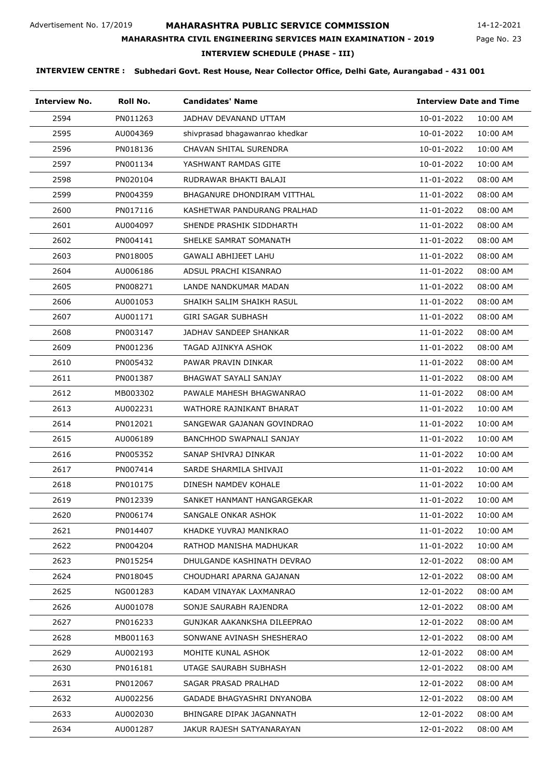Page No. 23 14-12-2021

# **MAHARASHTRA CIVIL ENGINEERING SERVICES MAIN EXAMINATION - 2019**

#### **INTERVIEW SCHEDULE (PHASE - III)**

| <b>Interview No.</b> | Roll No. | <b>Candidates' Name</b>         | <b>Interview Date and Time</b> |          |
|----------------------|----------|---------------------------------|--------------------------------|----------|
| 2594                 | PN011263 | JADHAV DEVANAND UTTAM           | 10-01-2022                     | 10:00 AM |
| 2595                 | AU004369 | shivprasad bhagawanrao khedkar  | 10-01-2022                     | 10:00 AM |
| 2596                 | PN018136 | CHAVAN SHITAL SURENDRA          | 10-01-2022                     | 10:00 AM |
| 2597                 | PN001134 | YASHWANT RAMDAS GITE            | 10-01-2022                     | 10:00 AM |
| 2598                 | PN020104 | RUDRAWAR BHAKTI BALAJI          | 11-01-2022                     | 08:00 AM |
| 2599                 | PN004359 | BHAGANURE DHONDIRAM VITTHAL     | 11-01-2022                     | 08:00 AM |
| 2600                 | PN017116 | KASHETWAR PANDURANG PRALHAD     | 11-01-2022                     | 08:00 AM |
| 2601                 | AU004097 | SHENDE PRASHIK SIDDHARTH        | 11-01-2022                     | 08:00 AM |
| 2602                 | PN004141 | SHELKE SAMRAT SOMANATH          | 11-01-2022                     | 08:00 AM |
| 2603                 | PN018005 | GAWALI ABHIJEET LAHU            | 11-01-2022                     | 08:00 AM |
| 2604                 | AU006186 | ADSUL PRACHI KISANRAO           | 11-01-2022                     | 08:00 AM |
| 2605                 | PN008271 | LANDE NANDKUMAR MADAN           | 11-01-2022                     | 08:00 AM |
| 2606                 | AU001053 | SHAIKH SALIM SHAIKH RASUL       | 11-01-2022                     | 08:00 AM |
| 2607                 | AU001171 | GIRI SAGAR SUBHASH              | 11-01-2022                     | 08:00 AM |
| 2608                 | PN003147 | JADHAV SANDEEP SHANKAR          | 11-01-2022                     | 08:00 AM |
| 2609                 | PN001236 | TAGAD AJINKYA ASHOK             | 11-01-2022                     | 08:00 AM |
| 2610                 | PN005432 | PAWAR PRAVIN DINKAR             | 11-01-2022                     | 08:00 AM |
| 2611                 | PN001387 | BHAGWAT SAYALI SANJAY           | 11-01-2022                     | 08:00 AM |
| 2612                 | MB003302 | PAWALE MAHESH BHAGWANRAO        | 11-01-2022                     | 08:00 AM |
| 2613                 | AU002231 | WATHORE RAJNIKANT BHARAT        | 11-01-2022                     | 10:00 AM |
| 2614                 | PN012021 | SANGEWAR GAJANAN GOVINDRAO      | 11-01-2022                     | 10:00 AM |
| 2615                 | AU006189 | <b>BANCHHOD SWAPNALI SANJAY</b> | 11-01-2022                     | 10:00 AM |
| 2616                 | PN005352 | SANAP SHIVRAJ DINKAR            | 11-01-2022                     | 10:00 AM |
| 2617                 | PN007414 | SARDE SHARMILA SHIVAJI          | 11-01-2022                     | 10:00 AM |
| 2618                 | PN010175 | DINESH NAMDEV KOHALE            | 11-01-2022                     | 10:00 AM |
| 2619                 | PN012339 | SANKET HANMANT HANGARGEKAR      | 11-01-2022                     | 10:00 AM |
| 2620                 | PN006174 | SANGALE ONKAR ASHOK             | 11-01-2022                     | 10:00 AM |
| 2621                 | PN014407 | KHADKE YUVRAJ MANIKRAO          | 11-01-2022                     | 10:00 AM |
| 2622                 | PN004204 | RATHOD MANISHA MADHUKAR         | 11-01-2022                     | 10:00 AM |
| 2623                 | PN015254 | DHULGANDE KASHINATH DEVRAO      | 12-01-2022                     | 08:00 AM |
| 2624                 | PN018045 | CHOUDHARI APARNA GAJANAN        | 12-01-2022                     | 08:00 AM |
| 2625                 | NG001283 | KADAM VINAYAK LAXMANRAO         | 12-01-2022                     | 08:00 AM |
| 2626                 | AU001078 | SONJE SAURABH RAJENDRA          | 12-01-2022                     | 08:00 AM |
| 2627                 | PN016233 | GUNJKAR AAKANKSHA DILEEPRAO     | 12-01-2022                     | 08:00 AM |
| 2628                 | MB001163 | SONWANE AVINASH SHESHERAO       | 12-01-2022                     | 08:00 AM |
| 2629                 | AU002193 | MOHITE KUNAL ASHOK              | 12-01-2022                     | 08:00 AM |
| 2630                 | PN016181 | UTAGE SAURABH SUBHASH           | 12-01-2022                     | 08:00 AM |
| 2631                 | PN012067 | SAGAR PRASAD PRALHAD            | 12-01-2022                     | 08:00 AM |
| 2632                 | AU002256 | GADADE BHAGYASHRI DNYANOBA      | 12-01-2022                     | 08:00 AM |
| 2633                 | AU002030 | BHINGARE DIPAK JAGANNATH        | 12-01-2022                     | 08:00 AM |
| 2634                 | AU001287 | JAKUR RAJESH SATYANARAYAN       | 12-01-2022                     | 08:00 AM |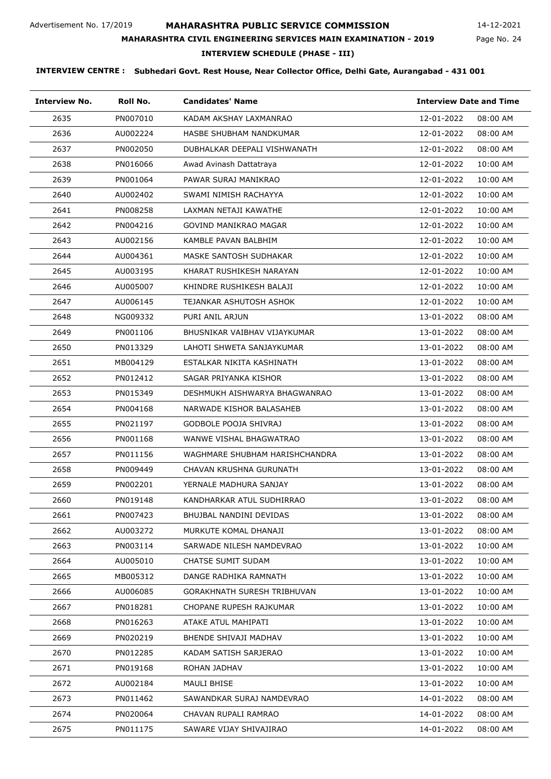Page No. 24 14-12-2021

# **MAHARASHTRA CIVIL ENGINEERING SERVICES MAIN EXAMINATION - 2019**

### **INTERVIEW SCHEDULE (PHASE - III)**

| <b>Interview No.</b> | Roll No. | <b>Candidates' Name</b>            | <b>Interview Date and Time</b> |
|----------------------|----------|------------------------------------|--------------------------------|
| 2635                 | PN007010 | KADAM AKSHAY LAXMANRAO             | 12-01-2022<br>08:00 AM         |
| 2636                 | AU002224 | HASBE SHUBHAM NANDKUMAR            | 12-01-2022<br>08:00 AM         |
| 2637                 | PN002050 | DUBHALKAR DEEPALI VISHWANATH       | 12-01-2022<br>08:00 AM         |
| 2638                 | PN016066 | Awad Avinash Dattatraya            | 12-01-2022<br>10:00 AM         |
| 2639                 | PN001064 | PAWAR SURAJ MANIKRAO               | 12-01-2022<br>10:00 AM         |
| 2640                 | AU002402 | SWAMI NIMISH RACHAYYA              | 12-01-2022<br>10:00 AM         |
| 2641                 | PN008258 | LAXMAN NETAJI KAWATHE              | 12-01-2022<br>10:00 AM         |
| 2642                 | PN004216 | GOVIND MANIKRAO MAGAR              | 12-01-2022<br>10:00 AM         |
| 2643                 | AU002156 | KAMBLE PAVAN BALBHIM               | 12-01-2022<br>10:00 AM         |
| 2644                 | AU004361 | MASKE SANTOSH SUDHAKAR             | 12-01-2022<br>10:00 AM         |
| 2645                 | AU003195 | KHARAT RUSHIKESH NARAYAN           | 12-01-2022<br>10:00 AM         |
| 2646                 | AU005007 | KHINDRE RUSHIKESH BALAJI           | 12-01-2022<br>10:00 AM         |
| 2647                 | AU006145 | TEJANKAR ASHUTOSH ASHOK            | 12-01-2022<br>10:00 AM         |
| 2648                 | NG009332 | PURI ANIL ARJUN                    | 13-01-2022<br>08:00 AM         |
| 2649                 | PN001106 | BHUSNIKAR VAIBHAV VIJAYKUMAR       | 13-01-2022<br>08:00 AM         |
| 2650                 | PN013329 | LAHOTI SHWETA SANJAYKUMAR          | 08:00 AM<br>13-01-2022         |
| 2651                 | MB004129 | ESTALKAR NIKITA KASHINATH          | 13-01-2022<br>08:00 AM         |
| 2652                 | PN012412 | SAGAR PRIYANKA KISHOR              | 13-01-2022<br>08:00 AM         |
| 2653                 | PN015349 | DESHMUKH AISHWARYA BHAGWANRAO      | 13-01-2022<br>08:00 AM         |
| 2654                 | PN004168 | NARWADE KISHOR BALASAHEB           | 08:00 AM<br>13-01-2022         |
| 2655                 | PN021197 | GODBOLE POOJA SHIVRAJ              | 08:00 AM<br>13-01-2022         |
| 2656                 | PN001168 | WANWE VISHAL BHAGWATRAO            | 13-01-2022<br>08:00 AM         |
| 2657                 | PN011156 | WAGHMARE SHUBHAM HARISHCHANDRA     | 13-01-2022<br>08:00 AM         |
| 2658                 | PN009449 | CHAVAN KRUSHNA GURUNATH            | 08:00 AM<br>13-01-2022         |
| 2659                 | PN002201 | YERNALE MADHURA SANJAY             | 13-01-2022<br>08:00 AM         |
| 2660                 | PN019148 | KANDHARKAR ATUL SUDHIRRAO          | 13-01-2022<br>08:00 AM         |
| 2661                 | PN007423 | BHUJBAL NANDINI DEVIDAS            | 13-01-2022<br>08:00 AM         |
| 2662                 | AU003272 | MURKUTE KOMAL DHANAJI              | 08:00 AM<br>13-01-2022         |
| 2663                 | PN003114 | SARWADE NILESH NAMDEVRAO           | 13-01-2022<br>10:00 AM         |
| 2664                 | AU005010 | CHATSE SUMIT SUDAM                 | 13-01-2022<br>10:00 AM         |
| 2665                 | MB005312 | DANGE RADHIKA RAMNATH              | 13-01-2022<br>10:00 AM         |
| 2666                 | AU006085 | <b>GORAKHNATH SURESH TRIBHUVAN</b> | 13-01-2022<br>10:00 AM         |
| 2667                 | PN018281 | CHOPANE RUPESH RAJKUMAR            | 13-01-2022<br>10:00 AM         |
| 2668                 | PN016263 | ATAKE ATUL MAHIPATI                | 13-01-2022<br>10:00 AM         |
| 2669                 | PN020219 | BHENDE SHIVAJI MADHAV              | 13-01-2022<br>10:00 AM         |
| 2670                 | PN012285 | KADAM SATISH SARJERAO              | 13-01-2022<br>10:00 AM         |
| 2671                 | PN019168 | ROHAN JADHAV                       | 13-01-2022<br>10:00 AM         |
| 2672                 | AU002184 | MAULI BHISE                        | 13-01-2022<br>10:00 AM         |
| 2673                 | PN011462 | SAWANDKAR SURAJ NAMDEVRAO          | 14-01-2022<br>08:00 AM         |
| 2674                 | PN020064 | CHAVAN RUPALI RAMRAO               | 14-01-2022<br>08:00 AM         |
| 2675                 | PN011175 | SAWARE VIJAY SHIVAJIRAO            | 14-01-2022<br>08:00 AM         |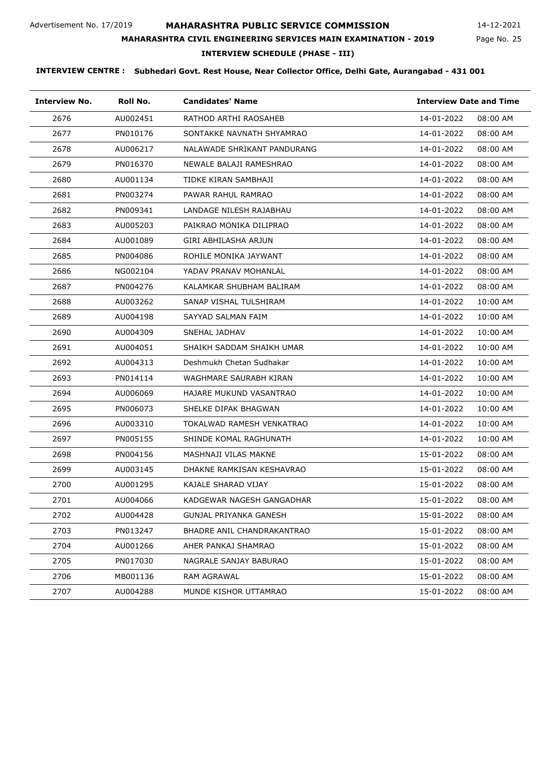# **MAHARASHTRA PUBLIC SERVICE COMMISSION**

**MAHARASHTRA CIVIL ENGINEERING SERVICES MAIN EXAMINATION - 2019**

14-12-2021

#### Page No. 25

# **INTERVIEW SCHEDULE (PHASE - III)**

| Interview No. | Roll No. | <b>Candidates' Name</b>     | <b>Interview Date and Time</b> |
|---------------|----------|-----------------------------|--------------------------------|
| 2676          | AU002451 | RATHOD ARTHI RAOSAHEB       | 14-01-2022<br>08:00 AM         |
| 2677          | PN010176 | SONTAKKE NAVNATH SHYAMRAO   | 14-01-2022<br>08:00 AM         |
| 2678          | AU006217 | NALAWADE SHRIKANT PANDURANG | 14-01-2022<br>08:00 AM         |
| 2679          | PN016370 | NEWALE BALAJI RAMESHRAO     | 14-01-2022<br>08:00 AM         |
| 2680          | AU001134 | TIDKE KIRAN SAMBHAJI        | 14-01-2022<br>08:00 AM         |
| 2681          | PN003274 | PAWAR RAHUL RAMRAO          | 14-01-2022<br>08:00 AM         |
| 2682          | PN009341 | LANDAGE NILESH RAJABHAU     | 14-01-2022<br>08:00 AM         |
| 2683          | AU005203 | PAIKRAO MONIKA DILIPRAO     | 14-01-2022<br>08:00 AM         |
| 2684          | AU001089 | GIRI ABHILASHA ARJUN        | 14-01-2022<br>08:00 AM         |
| 2685          | PN004086 | ROHILE MONIKA JAYWANT       | 14-01-2022<br>08:00 AM         |
| 2686          | NG002104 | YADAV PRANAV MOHANLAL       | 14-01-2022<br>08:00 AM         |
| 2687          | PN004276 | KALAMKAR SHUBHAM BALIRAM    | 14-01-2022<br>08:00 AM         |
| 2688          | AU003262 | SANAP VISHAL TULSHIRAM      | 14-01-2022<br>10:00 AM         |
| 2689          | AU004198 | SAYYAD SALMAN FAIM          | 14-01-2022<br>10:00 AM         |
| 2690          | AU004309 | SNEHAL JADHAV               | 14-01-2022<br>10:00 AM         |
| 2691          | AU004051 | SHAIKH SADDAM SHAIKH UMAR   | 14-01-2022<br>10:00 AM         |
| 2692          | AU004313 | Deshmukh Chetan Sudhakar    | 14-01-2022<br>10:00 AM         |
| 2693          | PN014114 | WAGHMARE SAURABH KIRAN      | 14-01-2022<br>10:00 AM         |
| 2694          | AU006069 | HAJARE MUKUND VASANTRAO     | 14-01-2022<br>10:00 AM         |
| 2695          | PN006073 | SHELKE DIPAK BHAGWAN        | 14-01-2022<br>10:00 AM         |
| 2696          | AU003310 | TOKALWAD RAMESH VENKATRAO   | 14-01-2022<br>10:00 AM         |
| 2697          | PN005155 | SHINDE KOMAL RAGHUNATH      | 14-01-2022<br>10:00 AM         |
| 2698          | PN004156 | MASHNAJI VILAS MAKNE        | 15-01-2022<br>08:00 AM         |
| 2699          | AU003145 | DHAKNE RAMKISAN KESHAVRAO   | 15-01-2022<br>08:00 AM         |
| 2700          | AU001295 | KAJALE SHARAD VIJAY         | 15-01-2022<br>08:00 AM         |
| 2701          | AU004066 | KADGEWAR NAGESH GANGADHAR   | 15-01-2022<br>08:00 AM         |
| 2702          | AU004428 | GUNJAL PRIYANKA GANESH      | 15-01-2022<br>08:00 AM         |
| 2703          | PN013247 | BHADRE ANIL CHANDRAKANTRAO  | 15-01-2022<br>08:00 AM         |
| 2704          | AU001266 | AHER PANKAJ SHAMRAO         | 15-01-2022<br>08:00 AM         |
| 2705          | PN017030 | NAGRALE SANJAY BABURAO      | 15-01-2022<br>08:00 AM         |
| 2706          | MB001136 | RAM AGRAWAL                 | 15-01-2022<br>08:00 AM         |
| 2707          | AU004288 | MUNDE KISHOR UTTAMRAO       | 15-01-2022<br>08:00 AM         |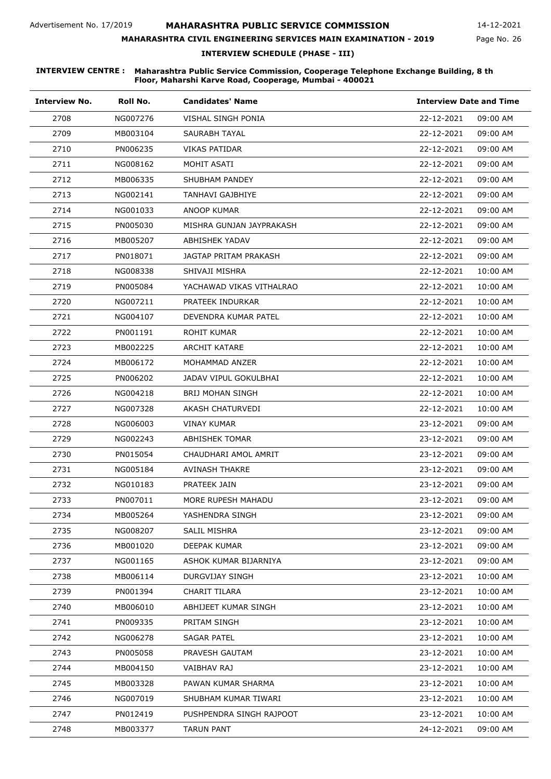#### **MAHARASHTRA CIVIL ENGINEERING SERVICES MAIN EXAMINATION - 2019**

Page No. 26 14-12-2021

**INTERVIEW SCHEDULE (PHASE - III)**

#### **INTERVIEW CENTRE : Maharashtra Public Service Commission, Cooperage Telephone Exchange Building, 8 th Floor, Maharshi Karve Road, Cooperage, Mumbai - 400021**

| <b>Interview No.</b> | Roll No. | <b>Candidates' Name</b>  | <b>Interview Date and Time</b> |
|----------------------|----------|--------------------------|--------------------------------|
| 2708                 | NG007276 | VISHAL SINGH PONIA       | 22-12-2021<br>09:00 AM         |
| 2709                 | MB003104 | SAURABH TAYAL            | 22-12-2021<br>09:00 AM         |
| 2710                 | PN006235 | VIKAS PATIDAR            | 22-12-2021<br>09:00 AM         |
| 2711                 | NG008162 | MOHIT ASATI              | 22-12-2021<br>09:00 AM         |
| 2712                 | MB006335 | SHUBHAM PANDEY           | 22-12-2021<br>09:00 AM         |
| 2713                 | NG002141 | TANHAVI GAJBHIYE         | 22-12-2021<br>09:00 AM         |
| 2714                 | NG001033 | ANOOP KUMAR              | 22-12-2021<br>09:00 AM         |
| 2715                 | PN005030 | MISHRA GUNJAN JAYPRAKASH | 22-12-2021<br>09:00 AM         |
| 2716                 | MB005207 | ABHISHEK YADAV           | 22-12-2021<br>09:00 AM         |
| 2717                 | PN018071 | JAGTAP PRITAM PRAKASH    | 22-12-2021<br>09:00 AM         |
| 2718                 | NG008338 | SHIVAJI MISHRA           | 22-12-2021<br>10:00 AM         |
| 2719                 | PN005084 | YACHAWAD VIKAS VITHALRAO | 22-12-2021<br>10:00 AM         |
| 2720                 | NG007211 | PRATEEK INDURKAR         | 22-12-2021<br>10:00 AM         |
| 2721                 | NG004107 | DEVENDRA KUMAR PATEL     | 22-12-2021<br>10:00 AM         |
| 2722                 | PN001191 | ROHIT KUMAR              | 22-12-2021<br>10:00 AM         |
| 2723                 | MB002225 | ARCHIT KATARE            | 22-12-2021<br>10:00 AM         |
| 2724                 | MB006172 | MOHAMMAD ANZER           | 22-12-2021<br>10:00 AM         |
| 2725                 | PN006202 | JADAV VIPUL GOKULBHAI    | 22-12-2021<br>10:00 AM         |
| 2726                 | NG004218 | <b>BRIJ MOHAN SINGH</b>  | 22-12-2021<br>10:00 AM         |
| 2727                 | NG007328 | AKASH CHATURVEDI         | 22-12-2021<br>10:00 AM         |
| 2728                 | NG006003 | VINAY KUMAR              | 23-12-2021<br>09:00 AM         |
| 2729                 | NG002243 | <b>ABHISHEK TOMAR</b>    | 23-12-2021<br>09:00 AM         |
| 2730                 | PN015054 | CHAUDHARI AMOL AMRIT     | 23-12-2021<br>09:00 AM         |
| 2731                 | NG005184 | <b>AVINASH THAKRE</b>    | 23-12-2021<br>09:00 AM         |
| 2732                 | NG010183 | PRATEEK JAIN             | 23-12-2021<br>09:00 AM         |
| 2733                 | PN007011 | MORE RUPESH MAHADU       | 23-12-2021<br>09:00 AM         |
| 2734                 | MB005264 | YASHENDRA SINGH          | 23-12-2021<br>09:00 AM         |
| 2735                 | NG008207 | SALIL MISHRA             | 23-12-2021<br>09:00 AM         |
| 2736                 | MB001020 | DEEPAK KUMAR             | 23-12-2021<br>09:00 AM         |
| 2737                 | NG001165 | ASHOK KUMAR BIJARNIYA    | 23-12-2021<br>09:00 AM         |
| 2738                 | MB006114 | DURGVIJAY SINGH          | 23-12-2021<br>10:00 AM         |
| 2739                 | PN001394 | CHARIT TILARA            | 23-12-2021<br>10:00 AM         |
| 2740                 | MB006010 | ABHIJEET KUMAR SINGH     | 23-12-2021<br>10:00 AM         |
| 2741                 | PN009335 | PRITAM SINGH             | 23-12-2021<br>10:00 AM         |
| 2742                 | NG006278 | <b>SAGAR PATEL</b>       | 23-12-2021<br>10:00 AM         |
| 2743                 | PN005058 | PRAVESH GAUTAM           | 23-12-2021<br>10:00 AM         |
| 2744                 | MB004150 | VAIBHAV RAJ              | 23-12-2021<br>10:00 AM         |
| 2745                 | MB003328 | PAWAN KUMAR SHARMA       | 23-12-2021<br>10:00 AM         |
| 2746                 | NG007019 | SHUBHAM KUMAR TIWARI     | 23-12-2021<br>10:00 AM         |
| 2747                 | PN012419 | PUSHPENDRA SINGH RAJPOOT | 23-12-2021<br>10:00 AM         |
| 2748                 | MB003377 | <b>TARUN PANT</b>        | 24-12-2021<br>09:00 AM         |